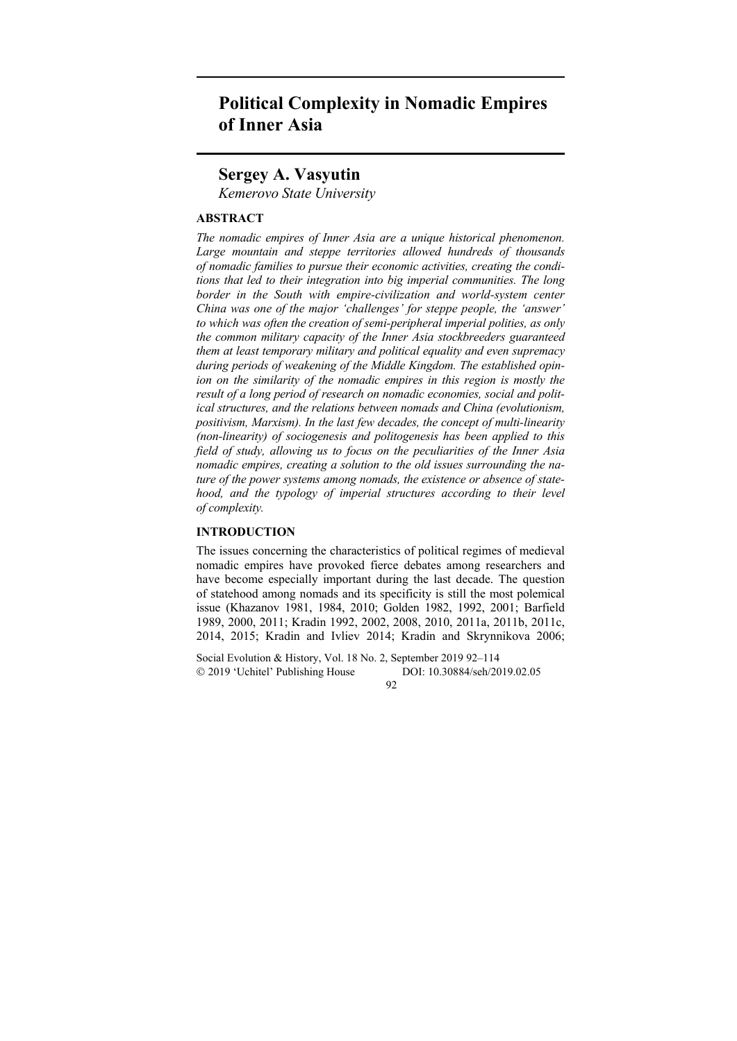# **Political Complexity in Nomadic Empires of Inner Asia**

## **Sergey A. Vasyutin**

*Kemerovo State University* 

## **ABSTRACT**

*The nomadic empires of Inner Asia are a unique historical phenomenon. Large mountain and steppe territories allowed hundreds of thousands of nomadic families to pursue their economic activities, creating the conditions that led to their integration into big imperial communities. The long border in the South with empire-civilization and world-system center China was one of the major 'challenges' for steppe people, the 'answer' to which was often the creation of semi-peripheral imperial polities, as only the common military capacity of the Inner Asia stockbreeders guaranteed them at least temporary military and political equality and even supremacy during periods of weakening of the Middle Kingdom. The established opinion on the similarity of the nomadic empires in this region is mostly the result of a long period of research on nomadic economies, social and political structures, and the relations between nomads and China (evolutionism, positivism, Marxism). In the last few decades, the concept of multi-linearity (non-linearity) of sociogenesis and politogenesis has been applied to this field of study, allowing us to focus on the peculiarities of the Inner Asia nomadic empires, creating a solution to the old issues surrounding the nature of the power systems among nomads, the existence or absence of statehood, and the typology of imperial structures according to their level of complexity.* 

### **INTRODUCTION**

The issues concerning the characteristics of political regimes of medieval nomadic empires have provoked fierce debates among researchers and have become especially important during the last decade. The question of statehood among nomads and its specificity is still the most polemical issue (Khazanov 1981, 1984, 2010; Golden 1982, 1992, 2001; Barfield 1989, 2000, 2011; Kradin 1992, 2002, 2008, 2010, 2011a, 2011b, 2011c, 2014, 2015; Kradin and Ivliev 2014; Kradin and Skrynnikova 2006;

Social Evolution & History, Vol. 18 No. 2, September 2019 92–114 2019 'Uchitel' Publishing House DOI: 10.30884/seh/2019.02.05

92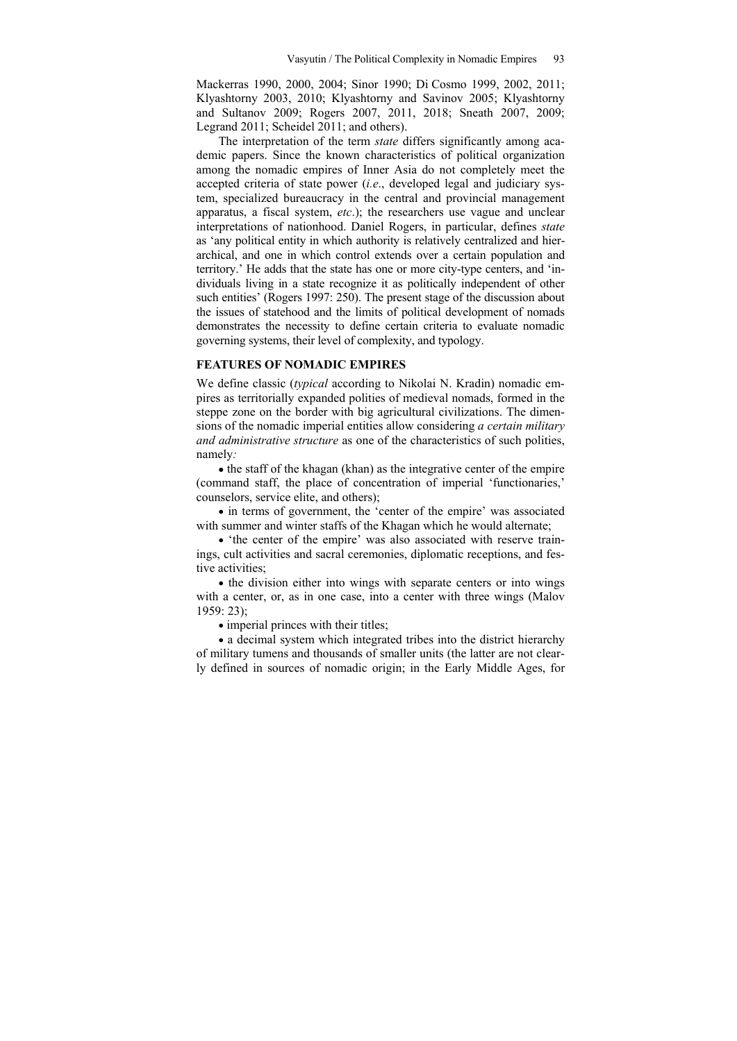Maсkerras 1990, 2000, 2004; Sinor 1990; Di Cosmo 1999, 2002, 2011; Klyashtorny 2003, 2010; Klyashtorny and Savinov 2005; Klyashtorny and Sultanov 2009; Rogers 2007, 2011, 2018; Sneath 2007, 2009; Legrand 2011; Scheidel 2011; and others).

The interpretation of the term *state* differs significantly among academic papers. Since the known characteristics of political organization among the nomadic empires of Inner Asia do not completely meet the accepted criteria of state power (*i.e*., developed legal and judiciary system, specialized bureaucracy in the central and provincial management apparatus, a fiscal system, *etc*.); the researchers use vague and unclear interpretations of nationhood. Daniel Rogers, in particular, defines *state* as 'any political entity in which authority is relatively centralized and hierarchical, and one in which control extends over a certain population and territory.' He adds that the state has one or more city-type centers, and 'individuals living in a state recognize it as politically independent of other such entities' (Rogers 1997: 250). The present stage of the discussion about the issues of statehood and the limits of political development of nomads demonstrates the necessity to define certain criteria to evaluate nomadic governing systems, their level of complexity, and typology.

## **FEATURES OF NOMADIC EMPIRES**

We define classic (*typical* according to Nikolai N. Kradin) nomadic empires as territorially expanded polities of medieval nomads, formed in the steppe zone on the border with big agricultural civilizations. The dimensions of the nomadic imperial entities allow considering *a certain military and administrative structure* as one of the characteristics of such polities, namely*:*

 $\bullet$  the staff of the khagan (khan) as the integrative center of the empire (command staff, the place of concentration of imperial 'functionaries,' counselors, service elite, and others);

• in terms of government, the 'center of the empire' was associated with summer and winter staffs of the Khagan which he would alternate;

 'the center of the empire' was also associated with reserve trainings, cult activities and sacral ceremonies, diplomatic receptions, and festive activities;

• the division either into wings with separate centers or into wings with a center, or, as in one case, into a center with three wings (Malov 1959: 23);

• imperial princes with their titles;

 a decimal system which integrated tribes into the district hierarchy of military tumens and thousands of smaller units (the latter are not clearly defined in sources of nomadic origin; in the Early Middle Ages, for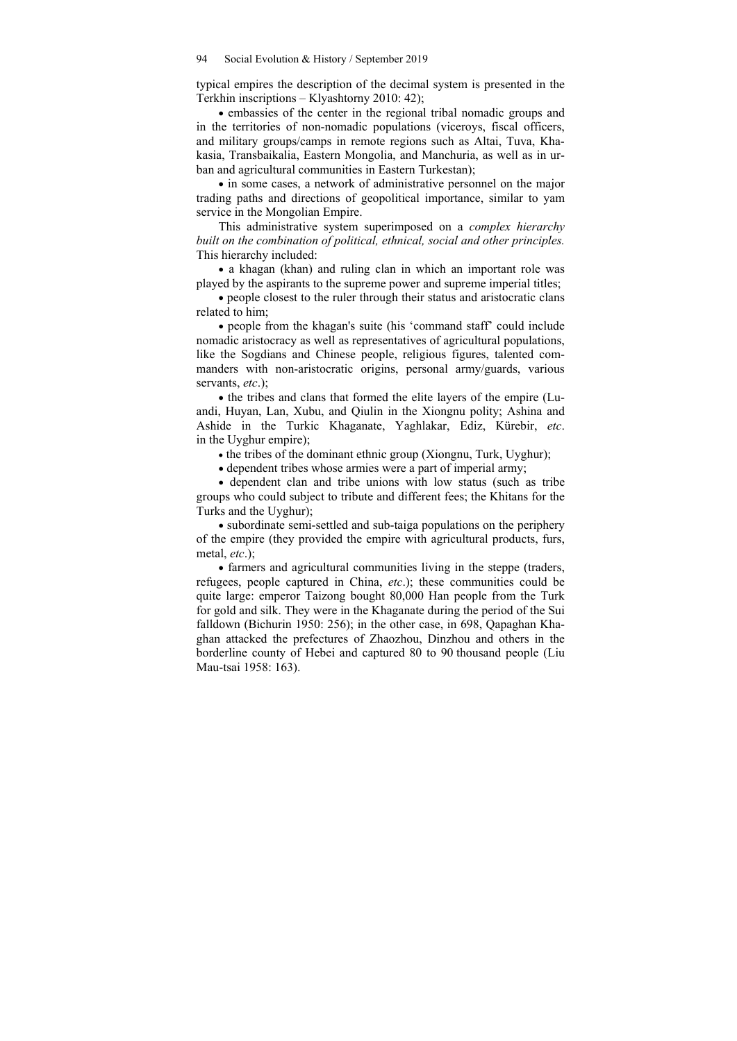typical empires the description of the decimal system is presented in the Terkhin inscriptions – Klyashtorny 2010: 42);

 embassies of the center in the regional tribal nomadic groups and in the territories of non-nomadic populations (viceroys, fiscal officers, and military groups/camps in remote regions such as Altai, Tuva, Khakasia, Transbaikalia, Eastern Mongolia, and Manchuria, as well as in urban and agricultural communities in Eastern Turkestan);

• in some cases, a network of administrative personnel on the major trading paths and directions of geopolitical importance, similar to yam service in the Mongolian Empire.

This administrative system superimposed on a *complex hierarchy built on the combination of political, ethnical, social and other principles.* This hierarchy included:

• a khagan (khan) and ruling clan in which an important role was played by the aspirants to the supreme power and supreme imperial titles;

 people closest to the ruler through their status and aristocratic clans related to him;

 people from the khagan's suite (his 'command staff' could include nomadic aristocracy as well as representatives of agricultural populations, like the Sogdians and Chinese people, religious figures, talented commanders with non-aristocratic origins, personal army/guards, various servants, *etc*.);

• the tribes and clans that formed the elite layers of the empire (Luandi, Huyan, Lan, Xubu, and Qiulin in the Xiongnu polity; Ashina and Ashide in the Turkic Khaganate, Yaghlakar, Ediz, Kürebir, *etc*. in the Uyghur empire);

• the tribes of the dominant ethnic group (Xiongnu, Turk, Uyghur);

dependent tribes whose armies were a part of imperial army;

 dependent clan and tribe unions with low status (such as tribe groups who could subject to tribute and different fees; the Khitans for the Turks and the Uyghur);

• subordinate semi-settled and sub-taiga populations on the periphery of the empire (they provided the empire with agricultural products, furs, metal, *etc*.);

• farmers and agricultural communities living in the steppe (traders, refugees, people captured in China, *etc*.); these communities could be quite large: emperor Taizong bought 80,000 Han people from the Turk for gold and silk. They were in the Khaganate during the period of the Sui falldown (Bichurin 1950: 256); in the other case, in 698, Qapaghan Khaghan attacked the prefectures of Zhaozhou, Dinzhou and others in the borderline county of Hebei and captured 80 to 90 thousand people (Liu Mau-tsai 1958: 163).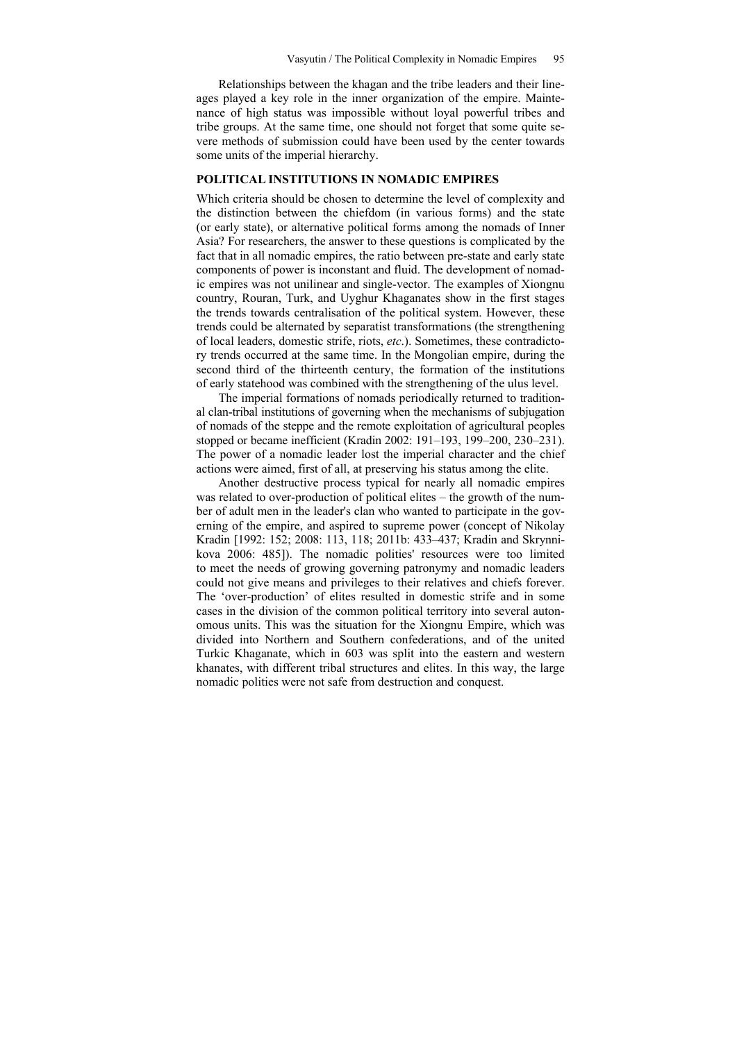Relationships between the khagan and the tribe leaders and their lineages played a key role in the inner organization of the empire. Maintenance of high status was impossible without loyal powerful tribes and tribe groups. At the same time, one should not forget that some quite severe methods of submission could have been used by the center towards some units of the imperial hierarchy.

#### **POLITICAL INSTITUTIONS IN NOMADIC EMPIRES**

Which criteria should be chosen to determine the level of complexity and the distinction between the chiefdom (in various forms) and the state (or early state), or alternative political forms among the nomads of Inner Asia? For researchers, the answer to these questions is complicated by the fact that in all nomadic empires, the ratio between pre-state and early state components of power is inconstant and fluid. The development of nomadic empires was not unilinear and single-vector. The examples of Xiongnu country, Rouran, Turk, and Uyghur Khaganates show in the first stages the trends towards centralisation of the political system. However, these trends could be alternated by separatist transformations (the strengthening of local leaders, domestic strife, riots, *etc*.). Sometimes, these contradictory trends occurred at the same time. In the Mongolian empire, during the second third of the thirteenth century, the formation of the institutions of early statehood was combined with the strengthening of the ulus level.

The imperial formations of nomads periodically returned to traditional clan-tribal institutions of governing when the mechanisms of subjugation of nomads of the steppe and the remote exploitation of agricultural peoples stopped or became inefficient (Kradin 2002: 191–193, 199–200, 230–231). The power of a nomadic leader lost the imperial character and the chief actions were aimed, first of all, at preserving his status among the elite.

Another destructive process typical for nearly all nomadic empires was related to over-production of political elites – the growth of the number of adult men in the leader's clan who wanted to participate in the governing of the empire, and aspired to supreme power (concept of Nikolay Kradin [1992: 152; 2008: 113, 118; 2011b: 433–437; Kradin and Skrynnikova 2006: 485]). The nomadic polities' resources were too limited to meet the needs of growing governing patronymy and nomadic leaders could not give means and privileges to their relatives and chiefs forever. The 'over-production' of elites resulted in domestic strife and in some cases in the division of the common political territory into several autonomous units. This was the situation for the Xiongnu Empire, which was divided into Northern and Southern confederations, and of the united Turkic Khaganate, which in 603 was split into the eastern and western khanates, with different tribal structures and elites. In this way, the large nomadic polities were not safe from destruction and conquest.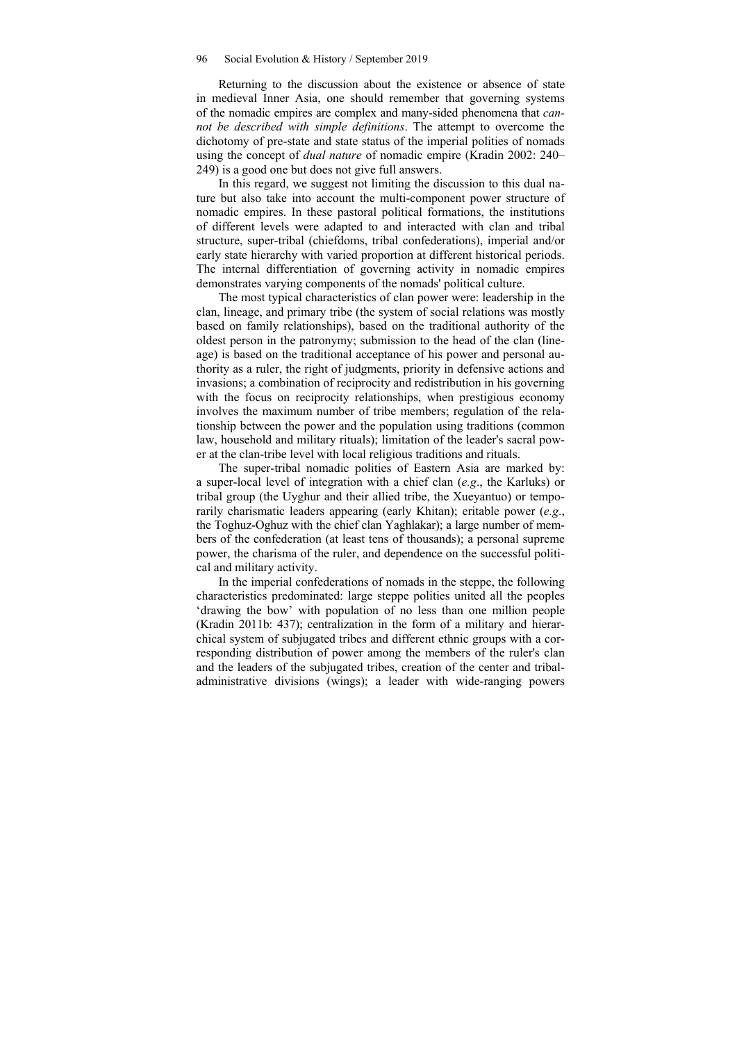Returning to the discussion about the existence or absence of state in medieval Inner Asia, one should remember that governing systems of the nomadic empires are complex and many-sided phenomena that *cannot be described with simple definitions*. The attempt to overcome the dichotomy of pre-state and state status of the imperial polities of nomads using the concept of *dual nature* of nomadic empire (Kradin 2002: 240– 249) is a good one but does not give full answers.

In this regard, we suggest not limiting the discussion to this dual nature but also take into account the multi-component power structure of nomadic empires. In these pastoral political formations, the institutions of different levels were adapted to and interacted with clan and tribal structure, super-tribal (chiefdoms, tribal confederations), imperial and/or early state hierarchy with varied proportion at different historical periods. The internal differentiation of governing activity in nomadic empires demonstrates varying components of the nomads' political culture.

The most typical characteristics of clan power were: leadership in the clan, lineage, and primary tribe (the system of social relations was mostly based on family relationships), based on the traditional authority of the oldest person in the patronymy; submission to the head of the clan (lineage) is based on the traditional acceptance of his power and personal authority as a ruler, the right of judgments, priority in defensive actions and invasions; a combination of reciprocity and redistribution in his governing with the focus on reciprocity relationships, when prestigious economy involves the maximum number of tribe members; regulation of the relationship between the power and the population using traditions (common law, household and military rituals); limitation of the leader's sacral power at the clan-tribe level with local religious traditions and rituals.

The super-tribal nomadic polities of Eastern Asia are marked by: a super-local level of integration with a chief clan (*e.g*., the Karluks) or tribal group (the Uyghur and their allied tribe, the Xueyantuo) or temporarily charismatic leaders appearing (early Khitan); eritable power (*e.g*., the Toghuz-Oghuz with the chief clan Yaghlakar); a large number of members of the confederation (at least tens of thousands); a personal supreme power, the charisma of the ruler, and dependence on the successful political and military activity.

In the imperial confederations of nomads in the steppe, the following characteristics predominated: large steppe polities united all the peoples 'drawing the bow' with population of no less than one million people (Kradin 2011b: 437); centralization in the form of a military and hierarchical system of subjugated tribes and different ethnic groups with a corresponding distribution of power among the members of the ruler's clan and the leaders of the subjugated tribes, creation of the center and tribaladministrative divisions (wings); a leader with wide-ranging powers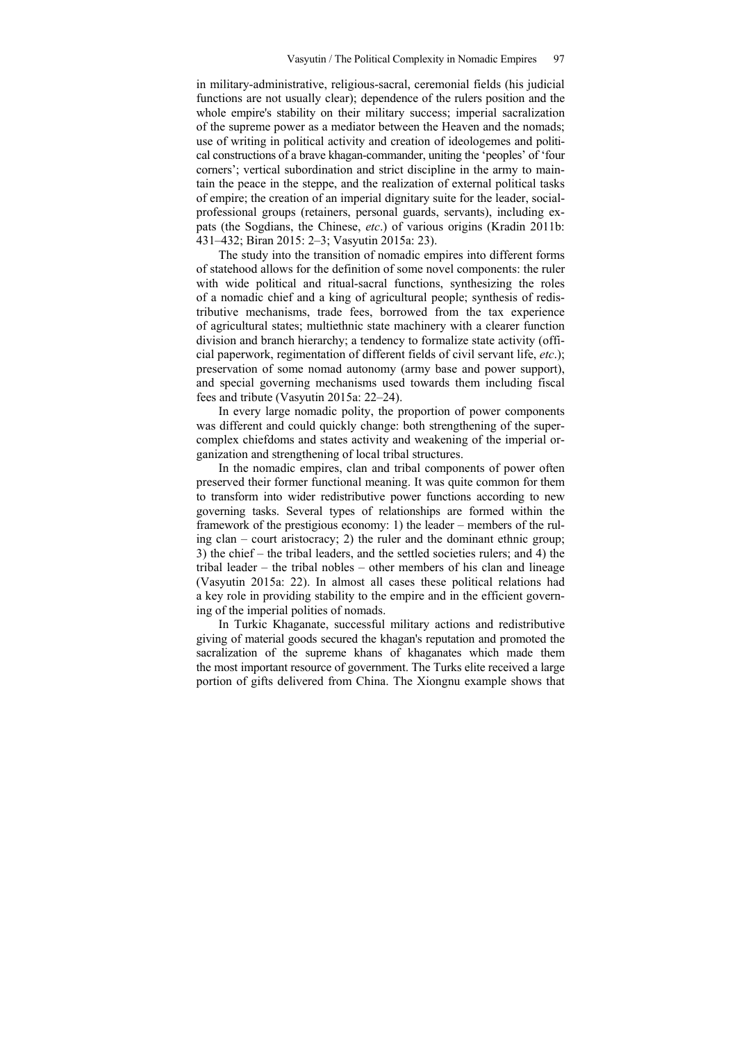in military-administrative, religious-sacral, ceremonial fields (his judicial functions are not usually clear); dependence of the rulers position and the whole empire's stability on their military success; imperial sacralization of the supreme power as a mediator between the Heaven and the nomads; use of writing in political activity and creation of ideologemes and political constructions of a brave khagan-commander, uniting the 'peoples' of 'four corners'; vertical subordination and strict discipline in the army to maintain the peace in the steppe, and the realization of external political tasks of empire; the creation of an imperial dignitary suite for the leader, socialprofessional groups (retainers, personal guards, servants), including expats (the Sogdians, the Chinese, *etc*.) of various origins (Kradin 2011b: 431–432; Biran 2015: 2–3; Vasyutin 2015a: 23).

The study into the transition of nomadic empires into different forms of statehood allows for the definition of some novel components: the ruler with wide political and ritual-sacral functions, synthesizing the roles of a nomadic chief and a king of agricultural people; synthesis of redistributive mechanisms, trade fees, borrowed from the tax experience of agricultural states; multiethnic state machinery with a clearer function division and branch hierarchy; a tendency to formalize state activity (official paperwork, regimentation of different fields of civil servant life, *etc*.); preservation of some nomad autonomy (army base and power support), and special governing mechanisms used towards them including fiscal fees and tribute (Vasyutin 2015a: 22–24).

In every large nomadic polity, the proportion of power components was different and could quickly change: both strengthening of the supercomplex chiefdoms and states activity and weakening of the imperial organization and strengthening of local tribal structures.

In the nomadic empires, clan and tribal components of power often preserved their former functional meaning. It was quite common for them to transform into wider redistributive power functions according to new governing tasks. Several types of relationships are formed within the framework of the prestigious economy: 1) the leader – members of the ruling clan – court aristocracy; 2) the ruler and the dominant ethnic group; 3) the chief – the tribal leaders, and the settled societies rulers; and 4) the tribal leader – the tribal nobles – other members of his clan and lineage (Vasyutin 2015a: 22). In almost all cases these political relations had a key role in providing stability to the empire and in the efficient governing of the imperial polities of nomads.

In Turkic Khaganate, successful military actions and redistributive giving of material goods secured the khagan's reputation and promoted the sacralization of the supreme khans of khaganates which made them the most important resource of government. The Turks elite received a large portion of gifts delivered from China. The Xiongnu example shows that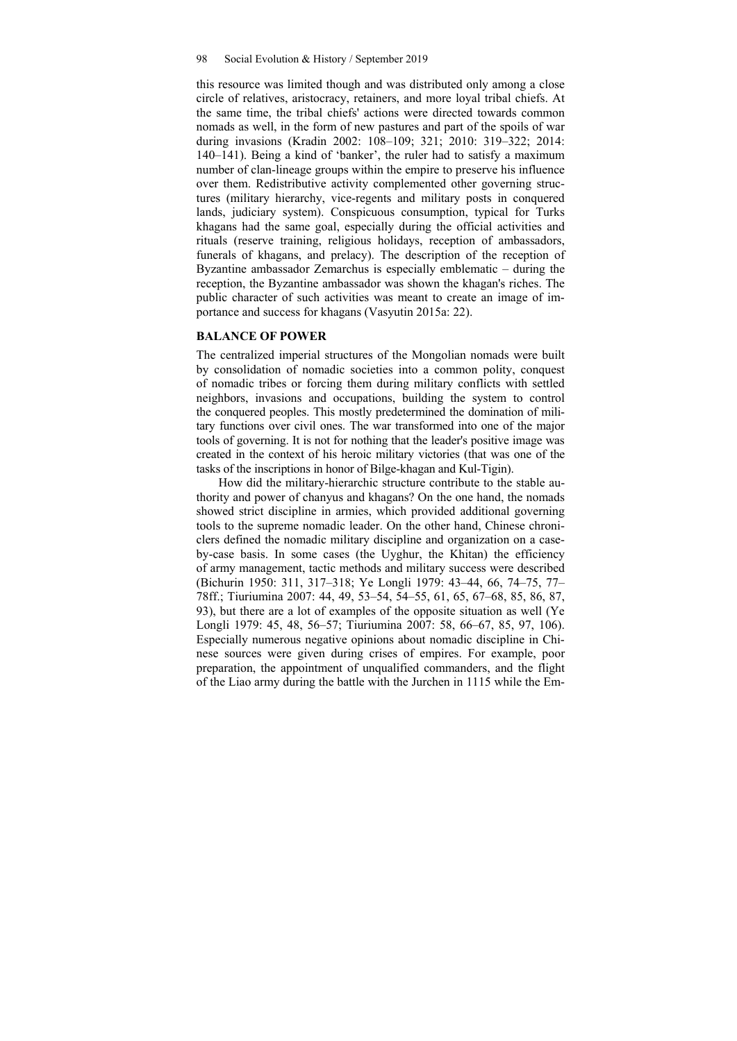this resource was limited though and was distributed only among a close circle of relatives, aristocracy, retainers, and more loyal tribal chiefs. At the same time, the tribal chiefs' actions were directed towards common nomads as well, in the form of new pastures and part of the spoils of war during invasions (Kradin 2002: 108–109; 321; 2010: 319–322; 2014: 140–141). Being a kind of 'banker', the ruler had to satisfy a maximum number of clan-lineage groups within the empire to preserve his influence over them. Redistributive activity complemented other governing structures (military hierarchy, vice-regents and military posts in conquered lands, judiciary system). Conspicuous consumption, typical for Turks khagans had the same goal, especially during the official activities and rituals (reserve training, religious holidays, reception of ambassadors, funerals of khagans, and prelacy). The description of the reception of Byzantine ambassador Zemarchus is especially emblematic – during the reception, the Byzantine ambassador was shown the khagan's riches. The public character of such activities was meant to create an image of importance and success for khagans (Vasyutin 2015a: 22).

#### **BALANCE OF POWER**

The centralized imperial structures of the Mongolian nomads were built by consolidation of nomadic societies into a common polity, conquest of nomadic tribes or forcing them during military conflicts with settled neighbors, invasions and occupations, building the system to control the conquered peoples. This mostly predetermined the domination of military functions over civil ones. The war transformed into one of the major tools of governing. It is not for nothing that the leader's positive image was created in the context of his heroic military victories (that was one of the tasks of the inscriptions in honor of Bilge-khagan and Kul-Tigin).

How did the military-hierarchic structure contribute to the stable authority and power of chanyus and khagans? On the one hand, the nomads showed strict discipline in armies, which provided additional governing tools to the supreme nomadic leader. On the other hand, Chinese chroniclers defined the nomadic military discipline and organization on a caseby-case basis. In some cases (the Uyghur, the Khitan) the efficiency of army management, tactic methods and military success were described (Bichurin 1950: 311, 317–318; Ye Longli 1979: 43–44, 66, 74–75, 77– 78ff.; Tiuriumina 2007: 44, 49, 53–54, 54–55, 61, 65, 67–68, 85, 86, 87, 93), but there are a lot of examples of the opposite situation as well (Ye Longli 1979: 45, 48, 56–57; Tiuriumina 2007: 58, 66–67, 85, 97, 106). Especially numerous negative opinions about nomadic discipline in Chinese sources were given during crises of empires. For example, poor preparation, the appointment of unqualified commanders, and the flight of the Liao army during the battle with the Jurchen in 1115 while the Em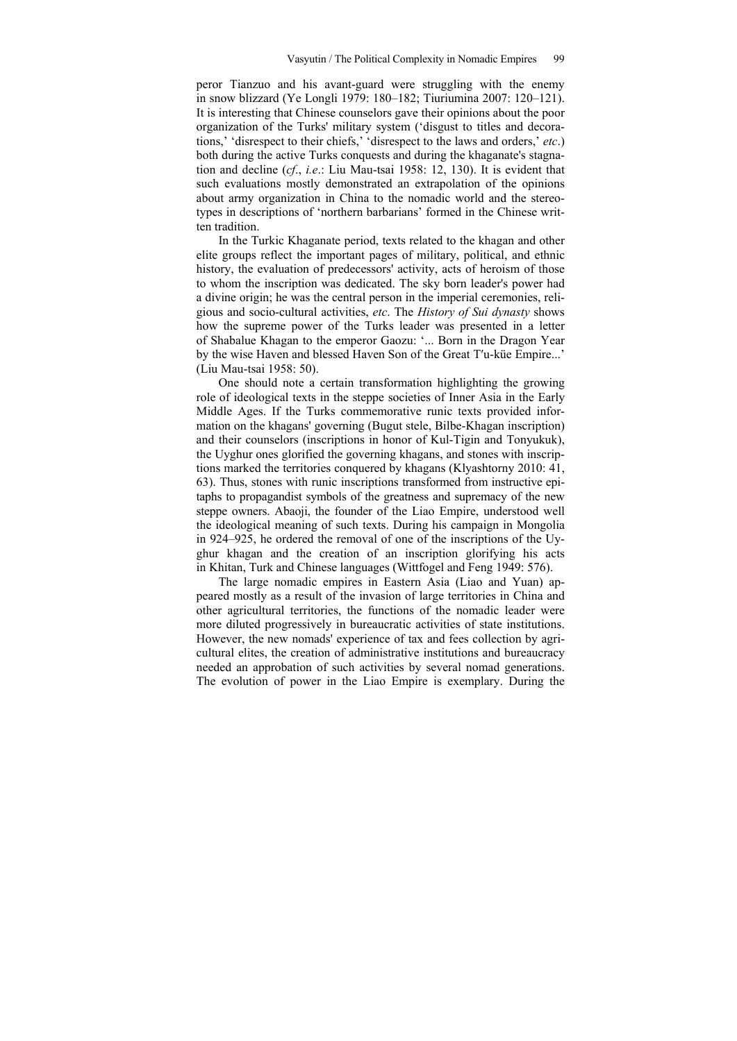peror Tianzuo and his avant-guard were struggling with the enemy in snow blizzard (Ye Longli 1979: 180–182; Tiuriumina 2007: 120–121). It is interesting that Chinese counselors gave their opinions about the poor organization of the Turks' military system ('disgust to titles and decorations,' 'disrespect to their chiefs,' 'disrespect to the laws and orders,' *etc*.) both during the active Turks conquests and during the khaganate's stagnation and decline (*cf*., *i.e*.: Liu Mau-tsai 1958: 12, 130). It is evident that such evaluations mostly demonstrated an extrapolation of the opinions about army organization in China to the nomadic world and the stereotypes in descriptions of 'northern barbarians' formed in the Chinese written tradition.

In the Turkic Khaganate period, texts related to the khagan and other elite groups reflect the important pages of military, political, and ethnic history, the evaluation of predecessors' activity, acts of heroism of those to whom the inscription was dedicated. The sky born leader's power had a divine origin; he was the central person in the imperial ceremonies, religious and socio-cultural activities, *etc*. The *History of Sui dynasty* shows how the supreme power of the Turks leader was presented in a letter of Shabalue Khagan to the emperor Gaozu: '... Born in the Dragon Year by the wise Haven and blessed Haven Son of the Great T′u-küe Empire...' (Liu Mau-tsai 1958: 50).

One should note a certain transformation highlighting the growing role of ideological texts in the steppe societies of Inner Asia in the Early Middle Ages. If the Turks commemorative runic texts provided information on the khagans' governing (Bugut stele, Bilbe-Khagan inscription) and their counselors (inscriptions in honor of Kul-Tigin and Tonyukuk), the Uyghur ones glorified the governing khagans, and stones with inscriptions marked the territories conquered by khagans (Klyashtorny 2010: 41, 63). Thus, stones with runic inscriptions transformed from instructive epitaphs to propagandist symbols of the greatness and supremacy of the new steppe owners. Abaoji, the founder of the Liao Empire, understood well the ideological meaning of such texts. During his campaign in Mongolia in 924–925, he ordered the removal of one of the inscriptions of the Uyghur khagan and the creation of an inscription glorifying his acts in Khitan, Turk and Chinese languages (Wittfogel and Feng 1949: 576).

The large nomadic empires in Eastern Asia (Liao and Yuan) appeared mostly as a result of the invasion of large territories in China and other agricultural territories, the functions of the nomadic leader were more diluted progressively in bureaucratic activities of state institutions. However, the new nomads' experience of tax and fees collection by agricultural elites, the creation of administrative institutions and bureaucracy needed an approbation of such activities by several nomad generations. The evolution of power in the Liao Empire is exemplary. During the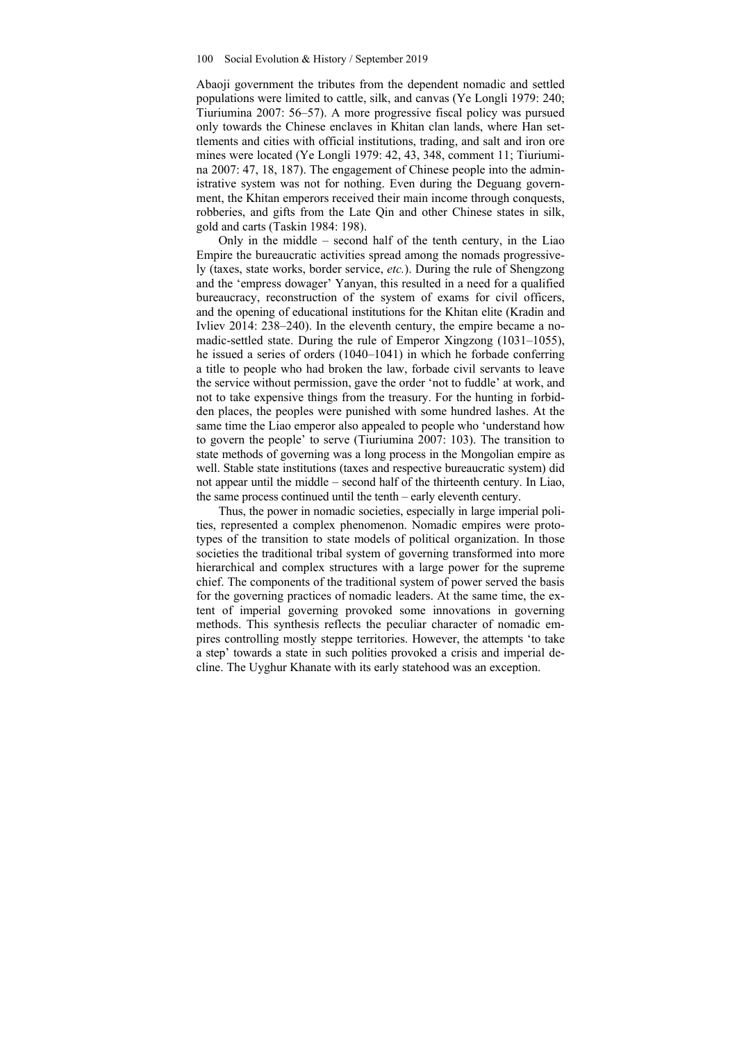Abaoji government the tributes from the dependent nomadic and settled populations were limited to cattle, silk, and canvas (Ye Longli 1979: 240; Tiuriumina 2007: 56–57). A more progressive fiscal policy was pursued only towards the Chinese enclaves in Khitan clan lands, where Han settlements and cities with official institutions, trading, and salt and iron ore mines were located (Ye Longli 1979: 42, 43, 348, comment 11; Tiuriumina 2007: 47, 18, 187). The engagement of Chinese people into the administrative system was not for nothing. Even during the Deguang government, the Khitan emperors received their main income through conquests, robberies, and gifts from the Late Qin and other Chinese states in silk, gold and carts (Taskin 1984: 198).

Only in the middle – second half of the tenth century, in the Liao Empire the bureaucratic activities spread among the nomads progressively (taxes, state works, border service, *etc.*). During the rule of Shengzong and the 'empress dowager' Yanyan, this resulted in a need for a qualified bureaucracy, reconstruction of the system of exams for civil officers, and the opening of educational institutions for the Khitan elite (Kradin and Ivliev 2014: 238–240). In the eleventh century, the empire became a nomadic-settled state. During the rule of Emperor Xingzong (1031–1055), he issued a series of orders (1040–1041) in which he forbade conferring a title to people who had broken the law, forbade civil servants to leave the service without permission, gave the order 'not to fuddle' at work, and not to take expensive things from the treasury. For the hunting in forbidden places, the peoples were punished with some hundred lashes. At the same time the Liao emperor also appealed to people who 'understand how to govern the people' to serve (Tiuriumina 2007: 103). The transition to state methods of governing was a long process in the Mongolian empire as well. Stable state institutions (taxes and respective bureaucratic system) did not appear until the middle – second half of the thirteenth century. In Liao, the same process continued until the tenth – early eleventh century.

Thus, the power in nomadic societies, especially in large imperial polities, represented a complex phenomenon. Nomadic empires were prototypes of the transition to state models of political organization. In those societies the traditional tribal system of governing transformed into more hierarchical and complex structures with a large power for the supreme chief. The components of the traditional system of power served the basis for the governing practices of nomadic leaders. At the same time, the extent of imperial governing provoked some innovations in governing methods. This synthesis reflects the peculiar character of nomadic empires controlling mostly steppe territories. However, the attempts 'to take a step' towards a state in such polities provoked a crisis and imperial decline. The Uyghur Khanate with its early statehood was an exception.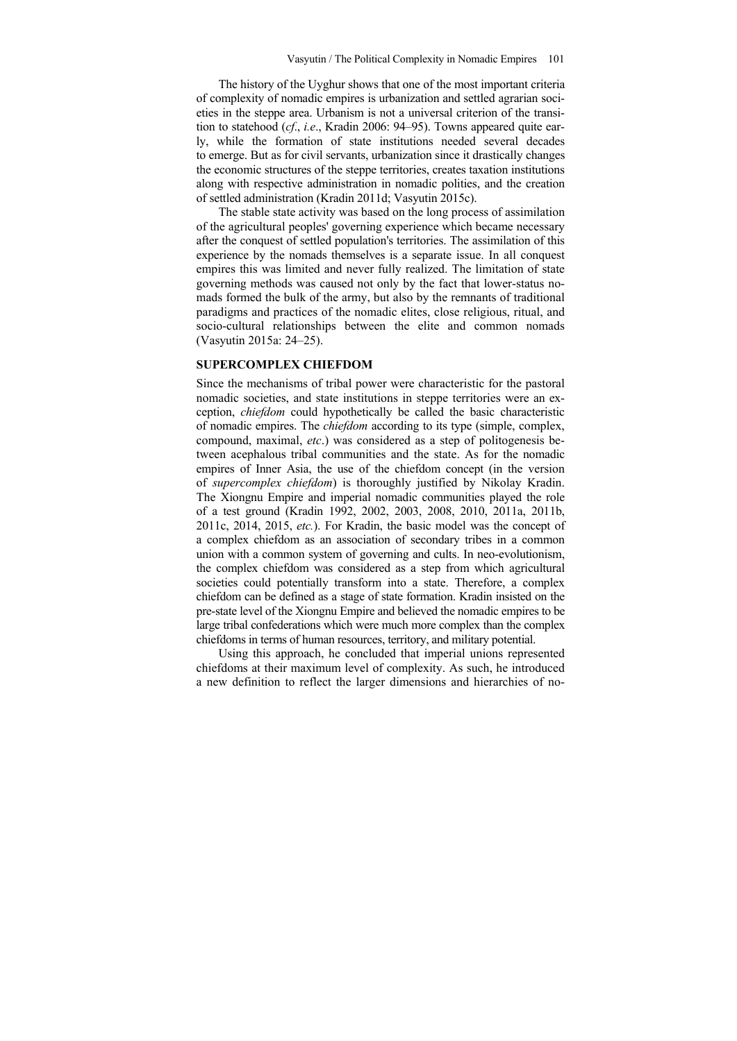The history of the Uyghur shows that one of the most important criteria of complexity of nomadic empires is urbanization and settled agrarian societies in the steppe area. Urbanism is not a universal criterion of the transition to statehood (*cf*., *i.e*., Kradin 2006: 94–95). Towns appeared quite early, while the formation of state institutions needed several decades to emerge. But as for civil servants, urbanization since it drastically changes the economic structures of the steppe territories, creates taxation institutions along with respective administration in nomadic polities, and the creation of settled administration (Kradin 2011d; Vasyutin 2015c).

The stable state activity was based on the long process of assimilation of the agricultural peoples' governing experience which became necessary after the conquest of settled population's territories. The assimilation of this experience by the nomads themselves is a separate issue. In all conquest empires this was limited and never fully realized. The limitation of state governing methods was caused not only by the fact that lower-status nomads formed the bulk of the army, but also by the remnants of traditional paradigms and practices of the nomadic elites, close religious, ritual, and socio-cultural relationships between the elite and common nomads (Vasyutin 2015a: 24–25).

## **SUPERCOMPLEX CHIEFDOM**

Since the mechanisms of tribal power were characteristic for the pastoral nomadic societies, and state institutions in steppe territories were an exception, *chiefdom* could hypothetically be called the basic characteristic of nomadic empires. The *chiefdom* according to its type (simple, complex, compound, maximal, *etc*.) was considered as a step of politogenesis between acephalous tribal communities and the state. As for the nomadic empires of Inner Asia, the use of the chiefdom concept (in the version of *supercomplex chiefdom*) is thoroughly justified by Nikolay Kradin. The Xiongnu Empire and imperial nomadic communities played the role of a test ground (Kradin 1992, 2002, 2003, 2008, 2010, 2011a, 2011b, 2011c, 2014, 2015, *etc.*). For Kradin, the basic model was the concept of a complex chiefdom as an association of secondary tribes in a common union with a common system of governing and cults. In neo-evolutionism, the complex chiefdom was considered as a step from which agricultural societies could potentially transform into a state. Therefore, a complex chiefdom can be defined as a stage of state formation. Kradin insisted on the pre-state level of the Xiongnu Empire and believed the nomadic empires to be large tribal confederations which were much more complex than the complex chiefdoms in terms of human resources, territory, and military potential.

Using this approach, he concluded that imperial unions represented chiefdoms at their maximum level of complexity. As such, he introduced a new definition to reflect the larger dimensions and hierarchies of no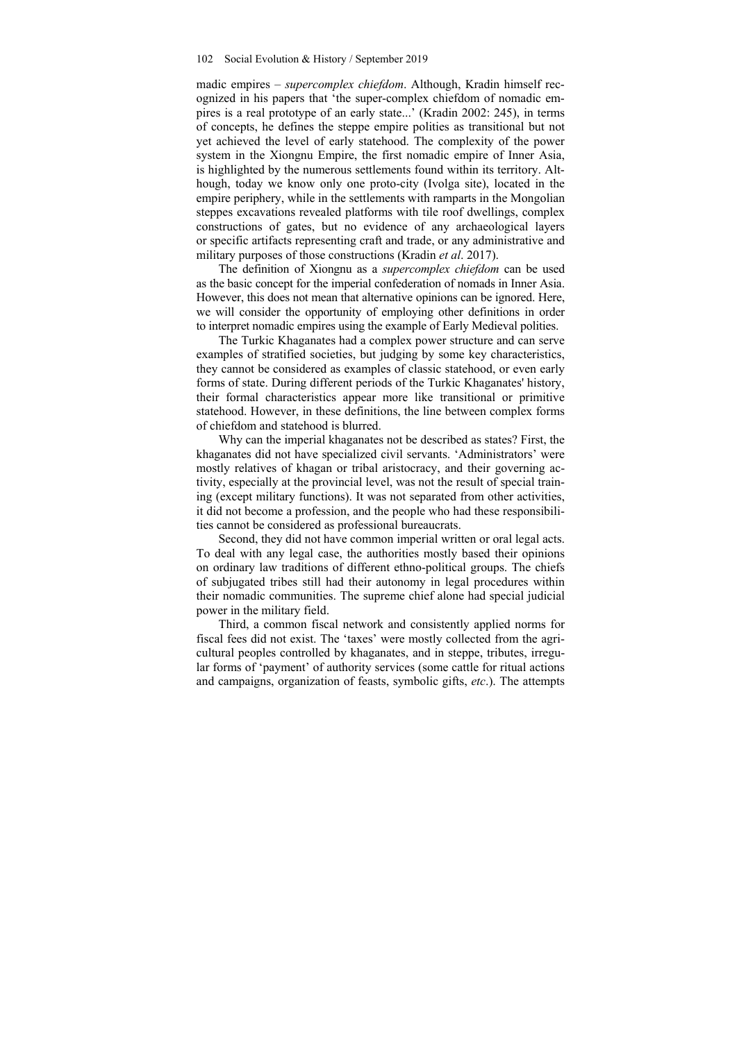madic empires – *supercomplex chiefdom*. Although, Kradin himself recognized in his papers that 'the super-complex chiefdom of nomadic empires is a real prototype of an early state...' (Kradin 2002: 245), in terms of concepts, he defines the steppe empire polities as transitional but not yet achieved the level of early statehood. The complexity of the power system in the Xiongnu Empire, the first nomadic empire of Inner Asia, is highlighted by the numerous settlements found within its territory. Although, today we know only one proto-city (Ivolga site), located in the empire periphery, while in the settlements with ramparts in the Mongolian steppes excavations revealed platforms with tile roof dwellings, complex constructions of gates, but no evidence of any archaeological layers or specific artifacts representing craft and trade, or any administrative and military purposes of those constructions (Kradin *et al*. 2017).

The definition of Xiongnu as a *supercomplex chiefdom* can be used as the basic concept for the imperial confederation of nomads in Inner Asia. However, this does not mean that alternative opinions can be ignored. Here, we will consider the opportunity of employing other definitions in order to interpret nomadic empires using the example of Early Medieval polities.

The Turkic Khaganates had a complex power structure and can serve examples of stratified societies, but judging by some key characteristics, they cannot be considered as examples of classic statehood, or even early forms of state. During different periods of the Turkic Khaganates' history, their formal characteristics appear more like transitional or primitive statehood. However, in these definitions, the line between complex forms of chiefdom and statehood is blurred.

Why can the imperial khaganates not be described as states? First, the khaganates did not have specialized civil servants. 'Administrators' were mostly relatives of khagan or tribal aristocracy, and their governing activity, especially at the provincial level, was not the result of special training (except military functions). It was not separated from other activities, it did not become a profession, and the people who had these responsibilities cannot be considered as professional bureaucrats.

Second, they did not have common imperial written or oral legal acts. To deal with any legal case, the authorities mostly based their opinions on ordinary law traditions of different ethno-political groups. The chiefs of subjugated tribes still had their autonomy in legal procedures within their nomadic communities. The supreme chief alone had special judicial power in the military field.

Third, a common fiscal network and consistently applied norms for fiscal fees did not exist. The 'taxes' were mostly collected from the agricultural peoples controlled by khaganates, and in steppe, tributes, irregular forms of 'payment' of authority services (some cattle for ritual actions and campaigns, organization of feasts, symbolic gifts, *etc*.). The attempts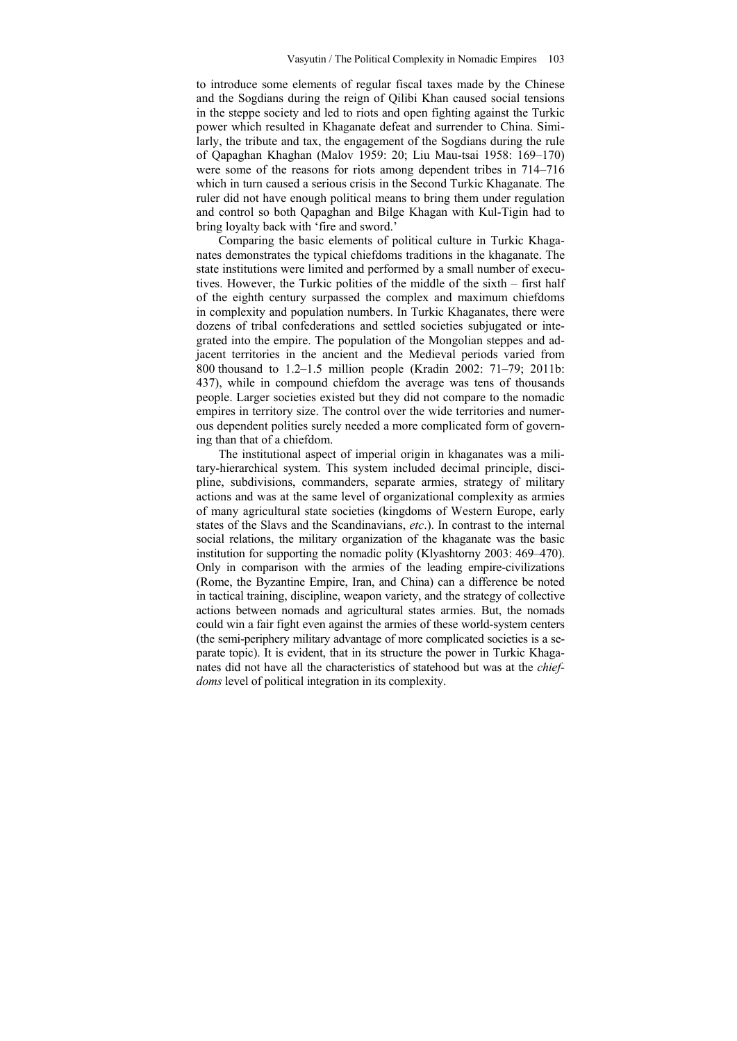to introduce some elements of regular fiscal taxes made by the Chinese and the Sogdians during the reign of Qilibi Khan caused social tensions in the steppe society and led to riots and open fighting against the Turkic power which resulted in Khaganate defeat and surrender to China. Similarly, the tribute and tax, the engagement of the Sogdians during the rule of Qapaghan Khaghan (Malov 1959: 20; Liu Mau-tsai 1958: 169–170) were some of the reasons for riots among dependent tribes in 714–716 which in turn caused a serious crisis in the Second Turkic Khaganate. The ruler did not have enough political means to bring them under regulation and control so both Qapaghan and Bilge Khagan with Kul-Tigin had to bring loyalty back with 'fire and sword.'

Comparing the basic elements of political culture in Turkic Khaganates demonstrates the typical chiefdoms traditions in the khaganate. The state institutions were limited and performed by a small number of executives. However, the Turkic polities of the middle of the sixth – first half of the eighth century surpassed the complex and maximum chiefdoms in complexity and population numbers. In Turkic Khaganates, there were dozens of tribal confederations and settled societies subjugated or integrated into the empire. The population of the Mongolian steppes and adjacent territories in the ancient and the Medieval periods varied from 800 thousand to 1.2–1.5 million people (Kradin 2002: 71–79; 2011b: 437), while in compound chiefdom the average was tens of thousands people. Larger societies existed but they did not compare to the nomadic empires in territory size. The control over the wide territories and numerous dependent polities surely needed a more complicated form of governing than that of a chiefdom.

The institutional aspect of imperial origin in khaganates was a military-hierarchical system. This system included decimal principle, discipline, subdivisions, commanders, separate armies, strategy of military actions and was at the same level of organizational complexity as armies of many agricultural state societies (kingdoms of Western Europe, early states of the Slavs and the Scandinavians, *etc*.). In contrast to the internal social relations, the military organization of the khaganate was the basic institution for supporting the nomadic polity (Klyashtorny 2003: 469–470). Only in comparison with the armies of the leading empire-civilizations (Rome, the Byzantine Empire, Iran, and China) can a difference be noted in tactical training, discipline, weapon variety, and the strategy of collective actions between nomads and agricultural states armies. But, the nomads could win a fair fight even against the armies of these world-system centers (the semi-periphery military advantage of more complicated societies is a separate topic). It is evident, that in its structure the power in Turkic Khaganates did not have all the characteristics of statehood but was at the *chiefdoms* level of political integration in its complexity.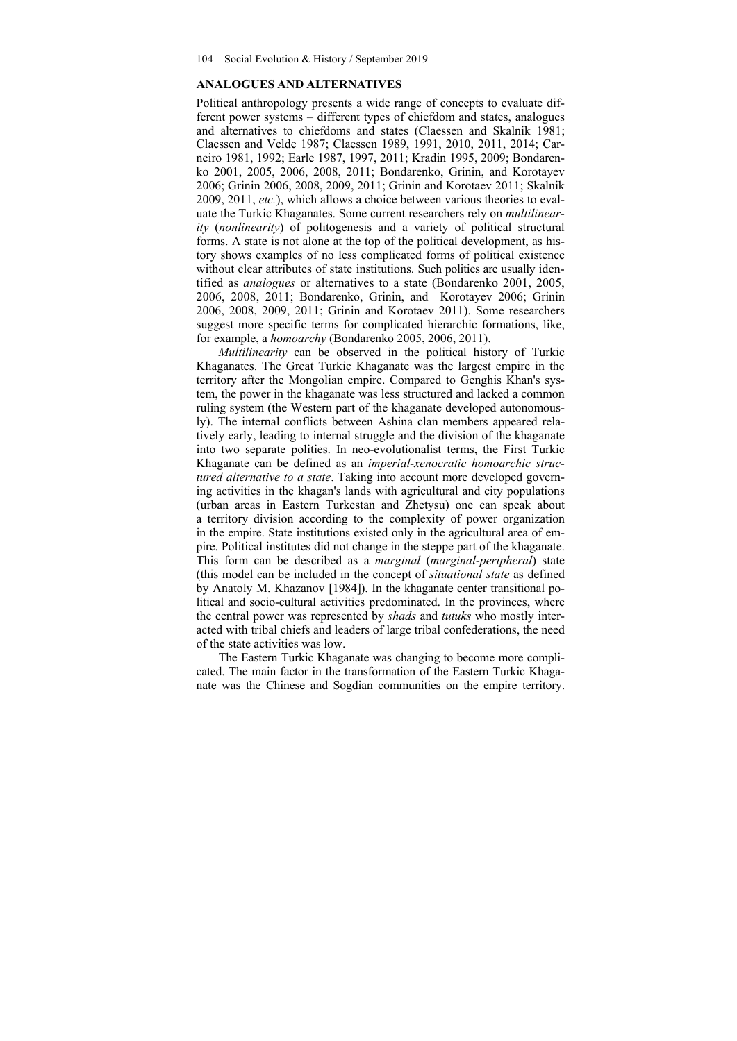#### **ANALOGUES AND ALTERNATIVES**

Political anthropology presents a wide range of concepts to evaluate different power systems – different types of chiefdom and states, analogues and alternatives to chiefdoms and states (Claessen and Skalnik 1981; Claessen and Velde 1987; Claessen 1989, 1991, 2010, 2011, 2014; Carneiro 1981, 1992; Earle 1987, 1997, 2011; Kradin 1995, 2009; Bondarenko 2001, 2005, 2006, 2008, 2011; Bondarenko, Grinin, and Korotayev 2006; Grinin 2006, 2008, 2009, 2011; Grinin and Korotaev 2011; Skalnik 2009, 2011, *etc.*), which allows a choice between various theories to evaluate the Turkic Khaganates. Some current researchers rely on *multilinearity* (*nonlinearity*) of politogenesis and a variety of political structural forms. A state is not alone at the top of the political development, as history shows examples of no less complicated forms of political existence without clear attributes of state institutions. Such polities are usually identified as *analogues* or alternatives to a state (Bondarenko 2001, 2005, 2006, 2008, 2011; Bondarenko, Grinin, and Korotayev 2006; Grinin 2006, 2008, 2009, 2011; Grinin and Korotaev 2011). Some researchers suggest more specific terms for complicated hierarchic formations, like, for example, a *homoarchy* (Bondarenko 2005, 2006, 2011).

*Multilinearity* can be observed in the political history of Turkic Khaganates. The Great Turkic Khaganate was the largest empire in the territory after the Mongolian empire. Compared to Genghis Khan's system, the power in the khaganate was less structured and lacked a common ruling system (the Western part of the khaganate developed autonomously). The internal conflicts between Ashina clan members appeared relatively early, leading to internal struggle and the division of the khaganate into two separate polities. In neo-evolutionalist terms, the First Turkic Khaganate can be defined as an *imperial-xenocratic homoarchic structured alternative to a state*. Taking into account more developed governing activities in the khagan's lands with agricultural and city populations (urban areas in Eastern Turkestan and Zhetysu) one can speak about a territory division according to the complexity of power organization in the empire. State institutions existed only in the agricultural area of empire. Political institutes did not change in the steppe part of the khaganate. This form can be described as a *marginal* (*marginal-peripheral*) state (this model can be included in the concept of *situational state* as defined by Anatoly M. Khazanov [1984]). In the khaganate center transitional political and socio-cultural activities predominated. In the provinces, where the central power was represented by *shads* and *tutuks* who mostly interacted with tribal chiefs and leaders of large tribal confederations, the need of the state activities was low.

The Eastern Turkic Khaganate was changing to become more complicated. The main factor in the transformation of the Eastern Turkic Khaganate was the Chinese and Sogdian communities on the empire territory.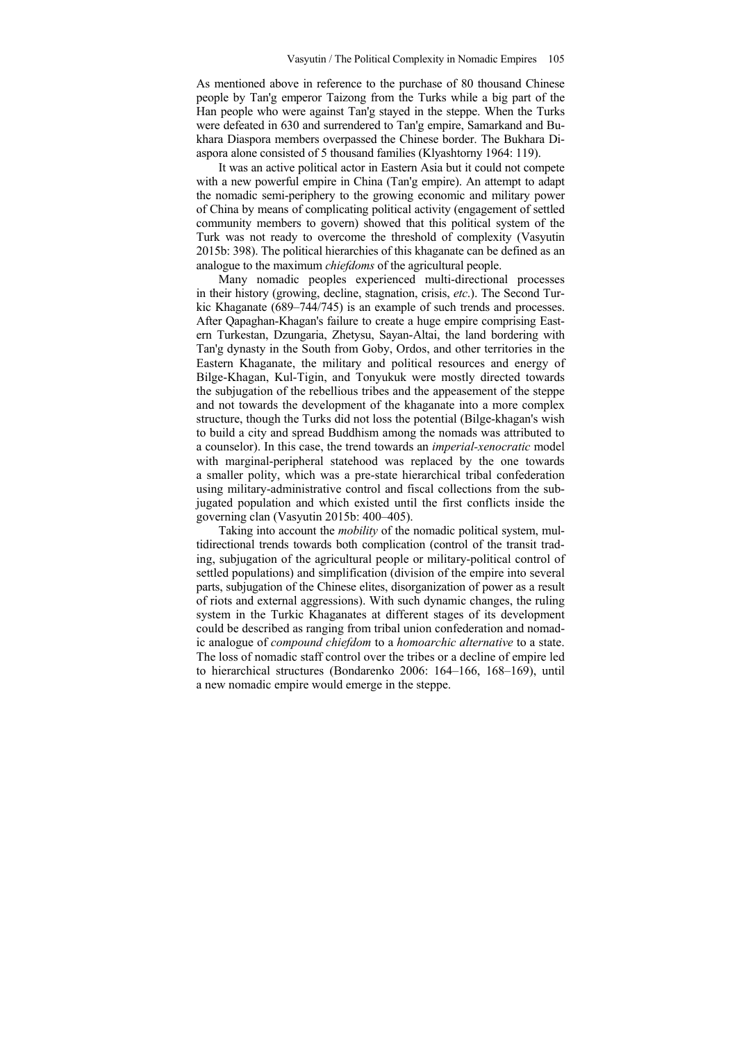As mentioned above in reference to the purchase of 80 thousand Chinese people by Tan'g emperor Taizong from the Turks while a big part of the Han people who were against Tan'g stayed in the steppe. When the Turks were defeated in 630 and surrendered to Tan'g empire, Samarkand and Bukhara Diaspora members overpassed the Chinese border. The Bukhara Diaspora alone consisted of 5 thousand families (Klyashtorny 1964: 119).

It was an active political actor in Eastern Asia but it could not compete with a new powerful empire in China (Tan'g empire). An attempt to adapt the nomadic semi-periphery to the growing economic and military power of China by means of complicating political activity (engagement of settled community members to govern) showed that this political system of the Turk was not ready to overcome the threshold of complexity (Vasyutin 2015b: 398). The political hierarchies of this khaganate can be defined as an analogue to the maximum *chiefdoms* of the agricultural people.

Many nomadic peoples experienced multi-directional processes in their history (growing, decline, stagnation, crisis, *etc*.). The Second Turkic Khaganate (689–744/745) is an example of such trends and processes. After Qapaghan-Khagan's failure to create a huge empire comprising Eastern Turkestan, Dzungaria, Zhetysu, Sayan-Altai, the land bordering with Tan'g dynasty in the South from Goby, Ordos, and other territories in the Eastern Khaganate, the military and political resources and energy of Bilge-Khagan, Kul-Tigin, and Tonyukuk were mostly directed towards the subjugation of the rebellious tribes and the appeasement of the steppe and not towards the development of the khaganate into a more complex structure, though the Turks did not loss the potential (Bilge-khagan's wish to build a city and spread Buddhism among the nomads was attributed to a counselor). In this case, the trend towards an *imperial-xenocratic* model with marginal-peripheral statehood was replaced by the one towards a smaller polity, which was a pre-state hierarchical tribal confederation using military-administrative control and fiscal collections from the subjugated population and which existed until the first conflicts inside the governing clan (Vasyutin 2015b: 400–405).

Taking into account the *mobility* of the nomadic political system, multidirectional trends towards both complication (control of the transit trading, subjugation of the agricultural people or military-political control of settled populations) and simplification (division of the empire into several parts, subjugation of the Chinese elites, disorganization of power as a result of riots and external aggressions). With such dynamic changes, the ruling system in the Turkic Khaganates at different stages of its development could be described as ranging from tribal union confederation and nomadic analogue of *compound chiefdom* to a *homoarchic alternative* to a state. The loss of nomadic staff control over the tribes or a decline of empire led to hierarchical structures (Bondarenko 2006: 164–166, 168–169), until a new nomadic empire would emerge in the steppe.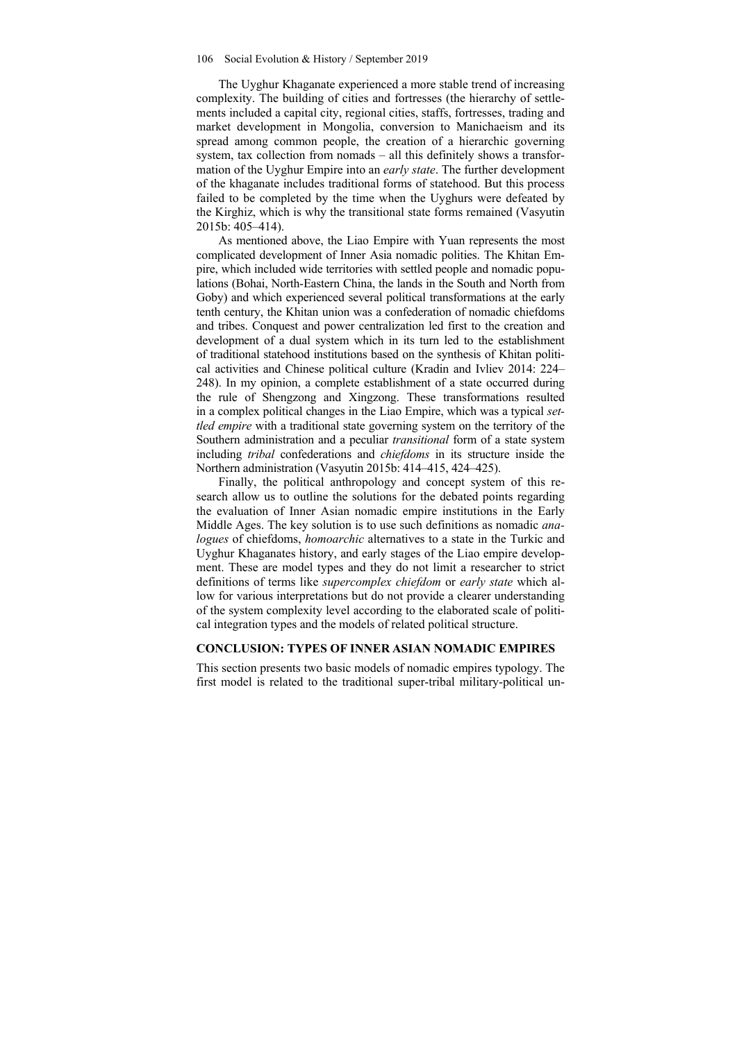The Uyghur Khaganate experienced a more stable trend of increasing complexity. The building of cities and fortresses (the hierarchy of settlements included a capital city, regional cities, staffs, fortresses, trading and market development in Mongolia, conversion to Manichaeism and its spread among common people, the creation of a hierarchic governing system, tax collection from nomads – all this definitely shows a transformation of the Uyghur Empire into an *early state*. The further development of the khaganate includes traditional forms of statehood. But this process failed to be completed by the time when the Uyghurs were defeated by the Kirghiz, which is why the transitional state forms remained (Vasyutin 2015b: 405–414).

As mentioned above, the Liao Empire with Yuan represents the most complicated development of Inner Asia nomadic polities. The Khitan Empire, which included wide territories with settled people and nomadic populations (Bohai, North-Eastern China, the lands in the South and North from Goby) and which experienced several political transformations at the early tenth century, the Khitan union was a confederation of nomadic chiefdoms and tribes. Conquest and power centralization led first to the creation and development of a dual system which in its turn led to the establishment of traditional statehood institutions based on the synthesis of Khitan political activities and Chinese political culture (Kradin and Ivliev 2014: 224– 248). In my opinion, a complete establishment of a state occurred during the rule of Shengzong and Xingzong. These transformations resulted in a complex political changes in the Liao Empire, which was a typical *settled empire* with a traditional state governing system on the territory of the Southern administration and a peculiar *transitional* form of a state system including *tribal* confederations and *chiefdoms* in its structure inside the Northern administration (Vasyutin 2015b: 414–415, 424–425).

Finally, the political anthropology and concept system of this research allow us to outline the solutions for the debated points regarding the evaluation of Inner Asian nomadic empire institutions in the Early Middle Ages. The key solution is to use such definitions as nomadic *analogues* of chiefdoms, *homoarchic* alternatives to a state in the Turkic and Uyghur Khaganates history, and early stages of the Liao empire development. These are model types and they do not limit a researcher to strict definitions of terms like *supercomplex chiefdom* or *early state* which allow for various interpretations but do not provide a clearer understanding of the system complexity level according to the elaborated scale of political integration types and the models of related political structure.

#### **CONCLUSION: TYPES OF INNER ASIAN NOMADIC EMPIRES**

This section presents two basic models of nomadic empires typology. The first model is related to the traditional super-tribal military-political un-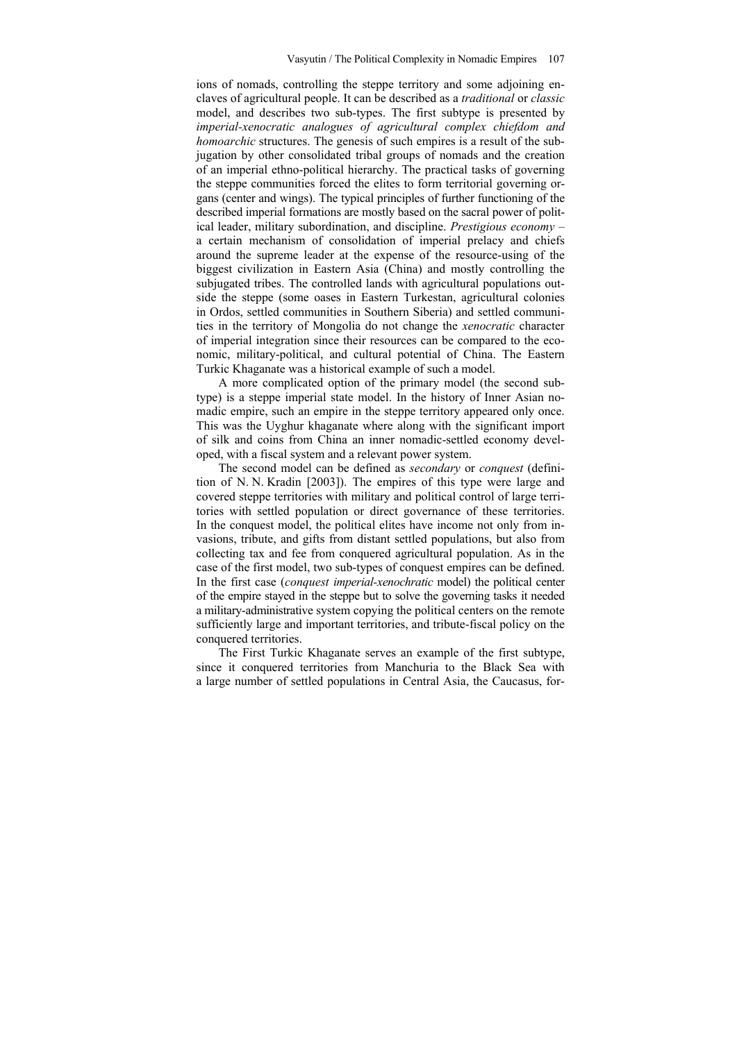ions of nomads, controlling the steppe territory and some adjoining enclaves of agricultural people. It can be described as a *traditional* or *classic* model, and describes two sub-types. The first subtype is presented by *imperial-xenocratic analogues of agricultural complex chiefdom and homoarchic* structures. The genesis of such empires is a result of the subjugation by other consolidated tribal groups of nomads and the creation of an imperial ethno-political hierarchy. The practical tasks of governing the steppe communities forced the elites to form territorial governing organs (center and wings). The typical principles of further functioning of the described imperial formations are mostly based on the sacral power of political leader, military subordination, and discipline. *Prestigious economy* – a certain mechanism of consolidation of imperial prelacy and chiefs around the supreme leader at the expense of the resource-using of the biggest civilization in Eastern Asia (China) and mostly controlling the subjugated tribes. The controlled lands with agricultural populations outside the steppe (some oases in Eastern Turkestan, agricultural colonies in Ordos, settled communities in Southern Siberia) and settled communities in the territory of Mongolia do not change the *xenocratic* character of imperial integration since their resources can be compared to the economic, military-political, and cultural potential of China. The Eastern Turkic Khaganate was a historical example of such a model.

A more complicated option of the primary model (the second subtype) is a steppe imperial state model. In the history of Inner Asian nomadic empire, such an empire in the steppe territory appeared only once. This was the Uyghur khaganate where along with the significant import of silk and coins from China an inner nomadic-settled economy developed, with a fiscal system and a relevant power system.

The second model can be defined as *secondary* or *conquest* (definition of N. N. Kradin [2003]). The empires of this type were large and covered steppe territories with military and political control of large territories with settled population or direct governance of these territories. In the conquest model, the political elites have income not only from invasions, tribute, and gifts from distant settled populations, but also from collecting tax and fee from conquered agricultural population. As in the case of the first model, two sub-types of conquest empires can be defined. In the first case (*conquest imperial-xenochratic* model) the political center of the empire stayed in the steppe but to solve the governing tasks it needed a military-administrative system copying the political centers on the remote sufficiently large and important territories, and tribute-fiscal policy on the conquered territories.

The First Turkic Khaganate serves an example of the first subtype, since it conquered territories from Manchuria to the Black Sea with a large number of settled populations in Central Asia, the Caucasus, for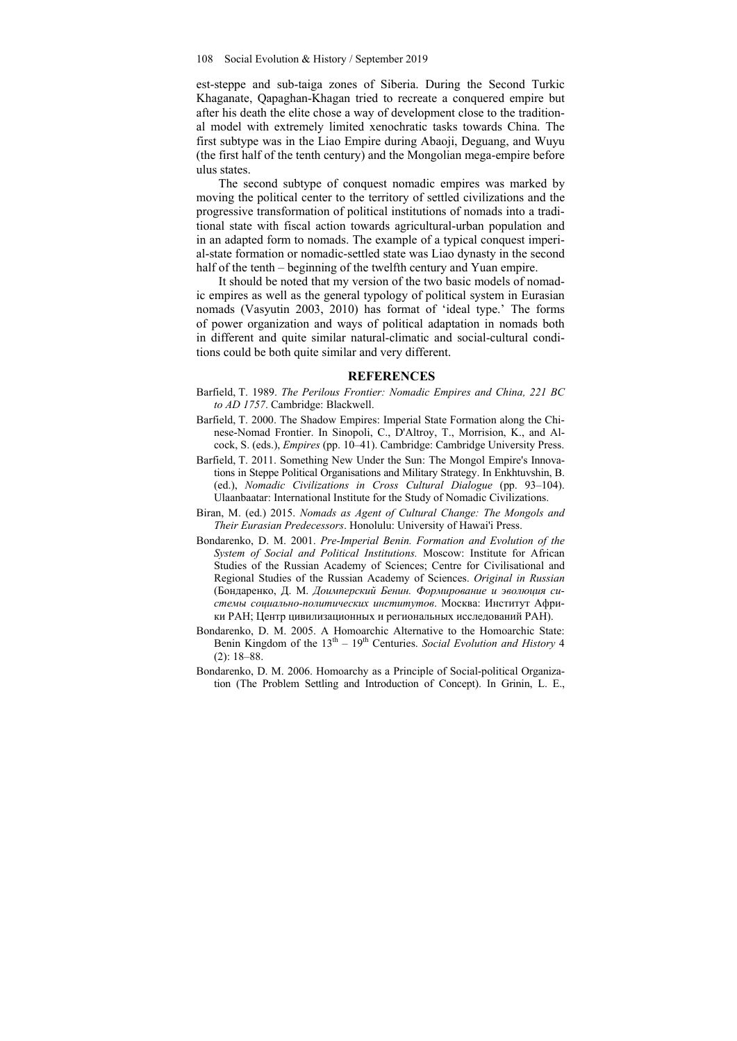est-steppe and sub-taiga zones of Siberia. During the Second Turkic Khaganate, Qapaghan-Khagan tried to recreate a conquered empire but after his death the elite chose a way of development close to the traditional model with extremely limited xenochratic tasks towards China. The first subtype was in the Liao Empire during Abaoji, Deguang, and Wuyu (the first half of the tenth century) and the Mongolian mega-empire before ulus states.

The second subtype of conquest nomadic empires was marked by moving the political center to the territory of settled civilizations and the progressive transformation of political institutions of nomads into a traditional state with fiscal action towards agricultural-urban population and in an adapted form to nomads. The example of a typical conquest imperial-state formation or nomadic-settled state was Liao dynasty in the second half of the tenth – beginning of the twelfth century and Yuan empire.

It should be noted that my version of the two basic models of nomadic empires as well as the general typology of political system in Eurasian nomads (Vasyutin 2003, 2010) has format of 'ideal type.' The forms of power organization and ways of political adaptation in nomads both in different and quite similar natural-climatic and social-cultural conditions could be both quite similar and very different.

#### **REFERENCES**

- Barfield, T. 1989. *The Perilous Frontier: Nomadic Empires and China, 221 BC to AD 1757*. Cambridge: Blackwell.
- Barfield, T. 2000. The Shadow Empires: Imperial State Formation along the Chinese-Nomad Frontier. In Sinopoli, C., D'Altroy, T., Morrision, K., and Alcock, S. (eds.), *Empires* (pp. 10–41). Cambridge: Cambridge University Press.
- Barfield, T. 2011. Something New Under the Sun: The Mongol Empire's Innovations in Steppe Political Organisations and Military Strategy. In Enkhtuvshin, B. (ed.), *Nomadic Civilizations in Cross Cultural Dialogue* (pp. 93–104). Ulaanbaatar: International Institute for the Study of Nomadic Civilizations.
- Biran, M. (ed.) 2015. *Nomads as Agent of Cultural Change: The Mongols and Their Eurasian Predecessors*. Honolulu: University of Hawai'i Press.
- Bondarenko, D. M. 2001. *Pre-Imperial Benin. Formation and Evolution of the System of Social and Political Institutions.* Moscow: Institute for African Studies of the Russian Academy of Sciences; Centre for Civilisational and Regional Studies of the Russian Academy of Sciences. *Original in Russian* (Бондаренко, Д. М. *Доимперский Бенин. Формирование и эволюция системы социально-политических институтов*. Москва: Институт Африки РАН; Центр цивилизационных и региональных исследований РАН).
- Bondarenko, D. M. 2005. A Homoarchic Alternative to the Homoarchic State: Benin Kingdom of the 13th – 19th Centuries. *Social Evolution and History* 4 (2): 18–88.
- Bondarenko, D. M. 2006. Homoarchy as a Principle of Social-political Organization (The Problem Settling and Introduction of Concept). In Grinin, L. E.,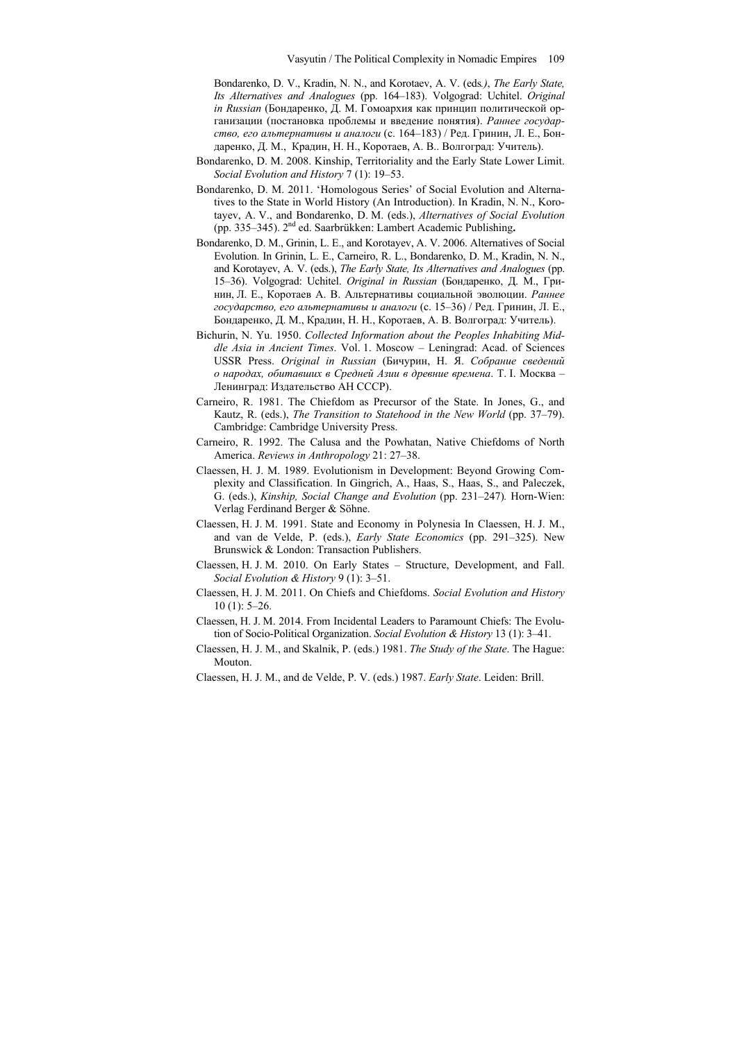Bondarenko, D. V., Kradin, N. N., and Korotaev, A. V. (eds*.)*, *The Early State, Its Alternatives and Analogues* (pp. 164–183). Volgograd: Uchitel. *Original in Russian* (Бондаренко, Д. М. Гомоархия как принцип политической организации (постановка проблемы и введение понятия). *Раннее государство, его альтернативы и аналоги* (c. 164–183) / Ред. Гринин, Л. Е., Бондаренко, Д. М., Крадин, Н. Н., Коротаев, А. В.. Волгоград: Учитель).

- Bondarenko, D. M. 2008. Kinship, Territoriality and the Early State Lower Limit. *Social Evolution and History* 7 (1): 19–53.
- Bondarenko, D. M. 2011. 'Homologous Series' of Social Evolution and Alternatives to the State in World History (An Introduction). In Kradin, N. N., Korotayev, A. V., and Bondarenko, D. M. (eds.), *Alternatives of Social Evolution*  (pp. 335–345). 2nd ed. Saarbrükken: Lambert Academic Publishing**.**
- Bondarenko, D. M., Grinin, L. E., and Korotayev, A. V. 2006. Alternatives of Social Evolution. In Grinin, L. E., Carneiro, R. L., Bondarenko, D. M., Kradin, N. N., and Korotayev, A. V. (eds.), *The Early State, Its Alternatives and Analogues* (pp. 15–36). Volgograd: Uchitel. *Original in Russian* (Бондаренко, Д. М., Гринин, Л. Е., Коротаев А. В. Альтернативы социальной эволюции. *Раннее государство, его альтернативы и аналоги* (с. 15–36) / Ред. Гринин, Л. Е., Бондаренко, Д. М., Крадин, Н. Н., Коротаев, А. В. Волгоград: Учитель).
- Bichurin, N. Yu. 1950. *Collected Information about the Peoples Inhabiting Middle Asia in Ancient Times*. Vol. 1. Moscow – Leningrad: Acad. of Sciences USSR Press. *Original in Russian* (Бичурин, Н. Я. *Собрание сведений о народах, обитавших в Средней Азии в древние времена*. Т. I. Москва – Ленинград: Издательство АН СССР).
- Carneiro, R. 1981. The Chiefdom as Precursor of the State. In Jones, G., and Kautz, R. (eds.), *The Transition to Statehood in the New World* (pp. 37–79). Cambridge: Cambridge University Press.
- Carneiro, R. 1992. The Calusa and the Powhatan, Native Chiefdoms of North America. *Reviews in Anthropology* 21: 27–38.
- Claessen, H. J. M. 1989. Evolutionism in Development: Beyond Growing Complexity and Classification. In Gingrich, A., Haas, S., Haas, S., and Paleczek, G. (eds.), *Kinship, Social Change and Evolution* (pp. 231–247)*.* Horn-Wien: Verlag Ferdinand Berger & Söhne.
- Claessen, H. J. M. 1991. State and Economy in Polynesia In Claessen, H. J. M., and van de Velde, P. (eds.), *Early State Economics* (pp. 291–325). New Brunswick & London: Transaction Publishers.
- Claessen, H. J. M. 2010. On Early States Structure, Development, and Fall. *Social Evolution & History* 9 (1): 3–51.
- Claessen, H. J. M. 2011. On Chiefs and Chiefdoms. *Social Evolution and History* 10 (1): 5–26.
- Claessen, H. J. M. 2014. From Incidental Leaders to Paramount Chiefs: The Evolution of Socio-Political Organization. *Social Evolution & History* 13 (1): 3–41.
- Claessen, H. J. M., and Skalnik, P. (eds.) 1981. *The Study of the State*. The Hague: Mouton.
- Claessen, H. J. M., and dе Velde, P. V. (eds.) 1987. *Early State*. Leiden: Brill.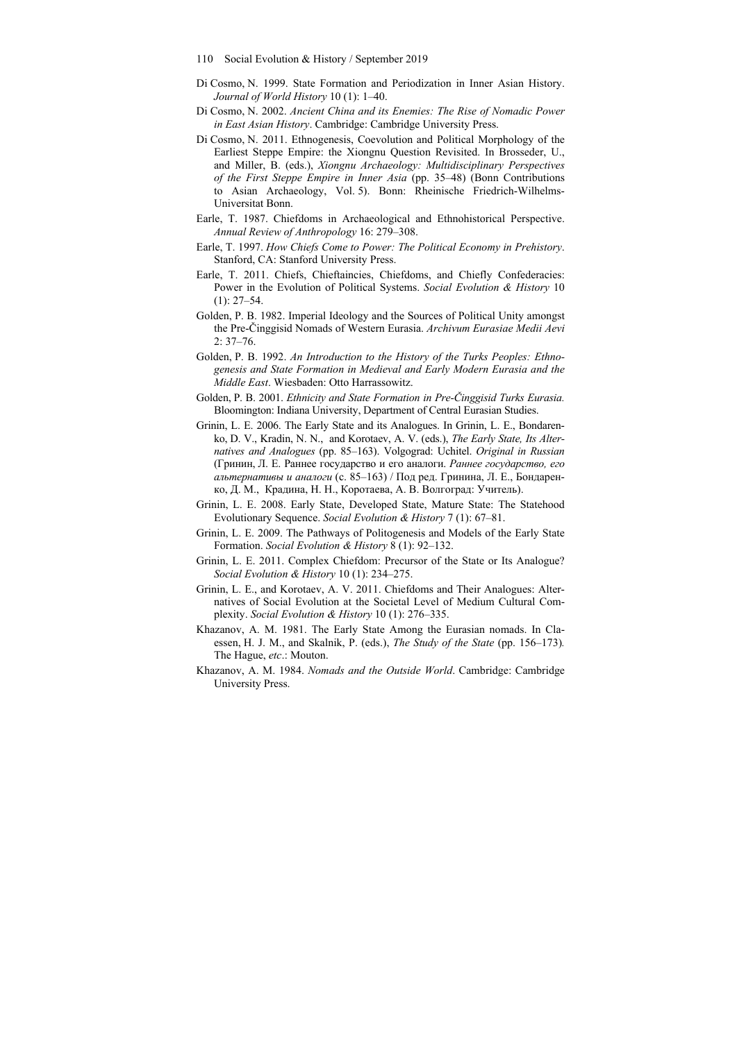- 110 Social Evolution & History / September 2019
- Di Cosmo, N. 1999. State Formation and Periodization in Inner Asian History. *Journal of World History* 10 (1): 1–40.
- Di Cosmo, N. 2002. *Ancient China and its Enemies: The Rise of Nomadic Power in East Asian History*. Cambridge: Cambridge University Press.
- Di Cosmo, N. 2011. Ethnogenesis, Coevolution and Political Morphology of the Earliest Steppe Empire: the Xiongnu Question Revisited. In Brosseder, U., and Miller, B. (eds.), *Xiongnu Archaeology: Multidisciplinary Perspectives of the First Steppe Empire in Inner Asia* (pp. 35–48) (Bonn Contributions to Asian Archaeology, Vol. 5). Bonn: Rheinische Friedrich-Wilhelms-Universitat Bonn.
- Earle, T. 1987. Chiefdoms in Archaeological and Ethnohistorical Perspective. *Annual Review of Anthropology* 16: 279–308.
- Earle, T. 1997. *How Chiefs Come to Power: The Political Economy in Prehistory*. Stanford, СA: Stanford University Press.
- Earle, T. 2011. Chiefs, Chieftaincies, Chiefdoms, and Chiefly Confederacies: Power in the Evolution of Political Systems. *Social Evolution & History* 10 (1): 27–54.
- Golden, P. B. 1982. Imperial Ideology and the Sources of Political Unity amongst the Pre-Činggisid Nomads of Western Eurasia. *Archivum Eurasiae Medii Aevi*  2: 37–76.
- Golden, P. B. 1992. *An Introduction to the History of the Turks Peoples: Ethnogenesis and State Formation in Medieval and Early Modern Eurasia and the Middle East*. Wiesbaden: Otto Harrassowitz.
- Golden, P. B. 2001. *Ethnicity and State Formation in Pre-Činggisid Turks Eurasia.* Bloomington: Indiana University, Department of Central Eurasian Studies.
- Grinin, L. E. 2006. The Early State and its Analogues. In Grinin, L. E., Bondarenko, D. V., Kradin, N. N., and Korotaev, A. V. (eds.), *The Early State, Its Alternatives and Analogues* (pp. 85–163). Volgograd: Uchitel. *Original in Russian* (Гринин, Л. Е. Раннее государство и его аналоги. *Раннее государство, его альтернативы и аналоги* (c. 85–163) / Под ред. Гринина, Л. Е., Бондаренко, Д. М., Крадина, Н. Н., Коротаева, А. В. Волгоград: Учитель).
- Grinin, L. E. 2008. Early State, Developed State, Mature State: The Statehood Evolutionary Sequence. *Social Evolution & History* 7 (1): 67–81.
- Grinin, L. E. 2009. The Pathways of Politogenesis and Models of the Early State Formation. *Social Evolution & History* 8 (1): 92–132.
- Grinin, L. E. 2011. Complex Chiefdom: Precursor of the State or Its Analogue? *Social Evolution & History* 10 (1): 234–275.
- Grinin, L. E., and Korotaev, A. V. 2011. Chiefdoms and Their Analogues: Alternatives of Social Evolution at the Societal Level of Medium Cultural Complexity. *Social Evolution & History* 10 (1): 276–335.
- Khazanov, A. M. 1981. The Early State Among the Eurasian nomads. In Claessen, H. J. M., and Skalnik, P. (eds.), *The Study of the State* (pp. 156–173). The Hague, *etc*.: Mouton.
- Khazanov, A. M. 1984. *Nomads and the Outside World*. Cambridge: Cambridge University Press.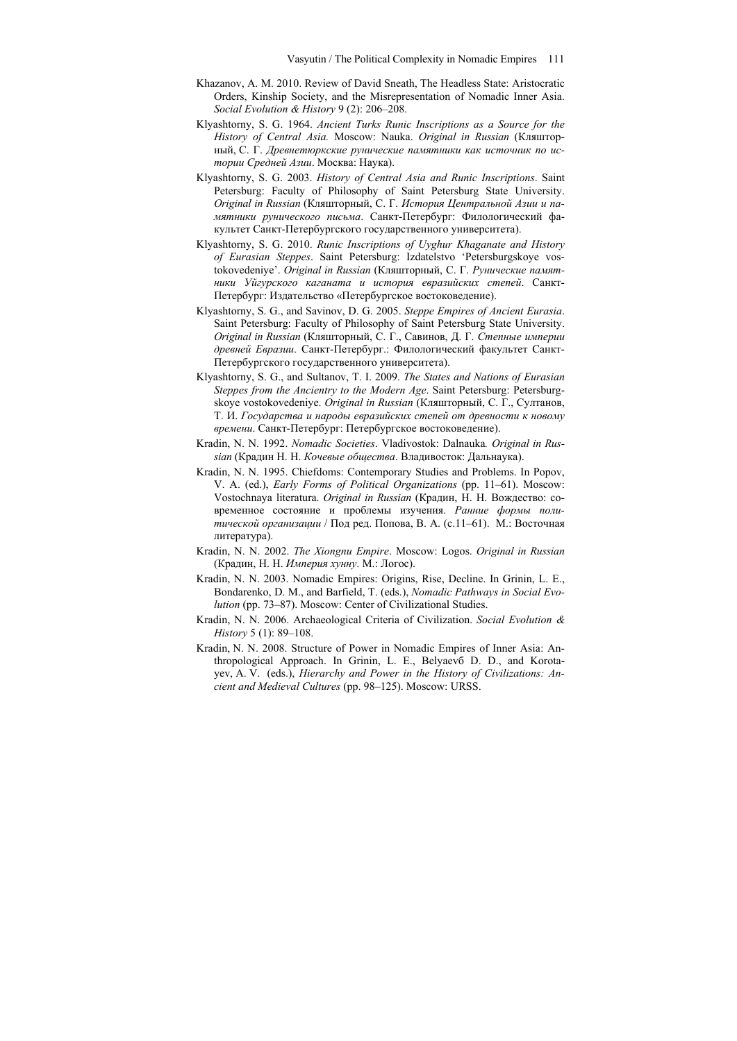- Khazanov, A. M. 2010. Review of David Sneath, The Headless State: Aristocratic Orders, Kinship Society, and the Misrepresentation of Nomadic Inner Asia. *Social Evolution & History* 9 (2): 206–208.
- Klyashtorny, S. G. 1964. *Ancient Turks Runic Inscriptions as a Source for the History of Central Asia.* Moscow: Nauka. *Original in Russian* (Кляшторный, С. Г. *Древнетюркские рунические памятники как источник по истории Средней Азии*. Москва: Наука).
- Klyashtorny, S. G. 2003. *History of Central Asia and Runic Inscriptions*. Saint Petersburg: Faculty of Philosophy of Saint Petersburg State University. *Original in Russian* (Кляшторный, С. Г. *История Центральной Азии и памятники рунического письма*. Санкт-Петербург: Филологический факультет Санкт-Петербургского государственного университета).
- Klyashtorny, S. G. 2010. *Runic Inscriptions of Uyghur Khaganate and History of Eurasian Steppes*. Saint Petersburg: Izdatelstvo 'Petersburgskoye vostokovedeniye'. *Original in Russian* (Кляшторный, С. Г. *Рунические памятники Уйгурского каганата и история евразийских степей*. Санкт-Петербург: Издательство «Петербургское востоковедение).
- Klyashtorny, S. G., and Savinov, D. G. 2005. *Steppe Empires of Ancient Eurasia*. Saint Petersburg: Faculty of Philosophy of Saint Petersburg State University. *Original in Russian* (Кляшторный, С. Г., Савинов, Д. Г. *Степные империи древней Евразии*. Санкт-Петербург.: Филологический факультет Санкт-Петербургского государственного университета).
- Klyashtorny, S. G., and Sultanov, T. I. 2009. *The States and Nations of Eurasian Steppes from the Ancientry to the Modern Age*. Saint Petersburg: Petersburgskoye vostokovedeniye. *Original in Russian* (Кляшторный, С. Г., Султанов, Т. И. *Государства и народы евразийских степей от древности к новому времени*. Санкт-Петербург: Петербургское востоковедение).
- Kradin, N. N. 1992. *Nomadic Societies*. Vladivostok: Dalnauka*. Original in Russian* (Крадин Н. Н. *Кочевые общества*. Владивосток: Дальнаука).
- Kradin, N. N. 1995. Chiefdoms: Contemporary Studies and Problems. In Popov, V. A. (ed.), *Early Forms of Political Organizations* (pp. 11–61). Moscow: Vostochnaya literatura. *Original in Russian* (Крадин, Н. Н. Вождество: современное состояние и проблемы изучения. *Ранние формы политической организации* / Под ред. Попова, В. А. (c.11–61). М.: Восточная литература).
- Kradin, N. N. 2002. *The Xiongnu Empire*. Moscow: Logos. *Original in Russian* (Крадин, Н. Н. *Империя хунну*. М.: Логос).
- Kradin, N. N. 2003. Nomadic Empires: Origins, Rise, Decline. In Grinin, L. E., Bondarenko, D. M., and Barfield, T. (eds.), *Nomadic Pathways in Social Evolution* (pp. 73–87). Moscow: Center of Civilizational Studies.
- Kradin, N. N. 2006. Archaeological Criteria of Civilization. *Social Evolution & History* 5 (1): 89–108.
- Kradin, N. N. 2008. Structure of Power in Nomadic Empires of Inner Asia: Anthropological Approach. In Grinin, L. E., Belyaevб D. D., and Korotayev, A. V. (eds.), *Hierarchy and Power in the History of Civilizations: Ancient and Medieval Cultures* (pp. 98–125). Moscow: URSS.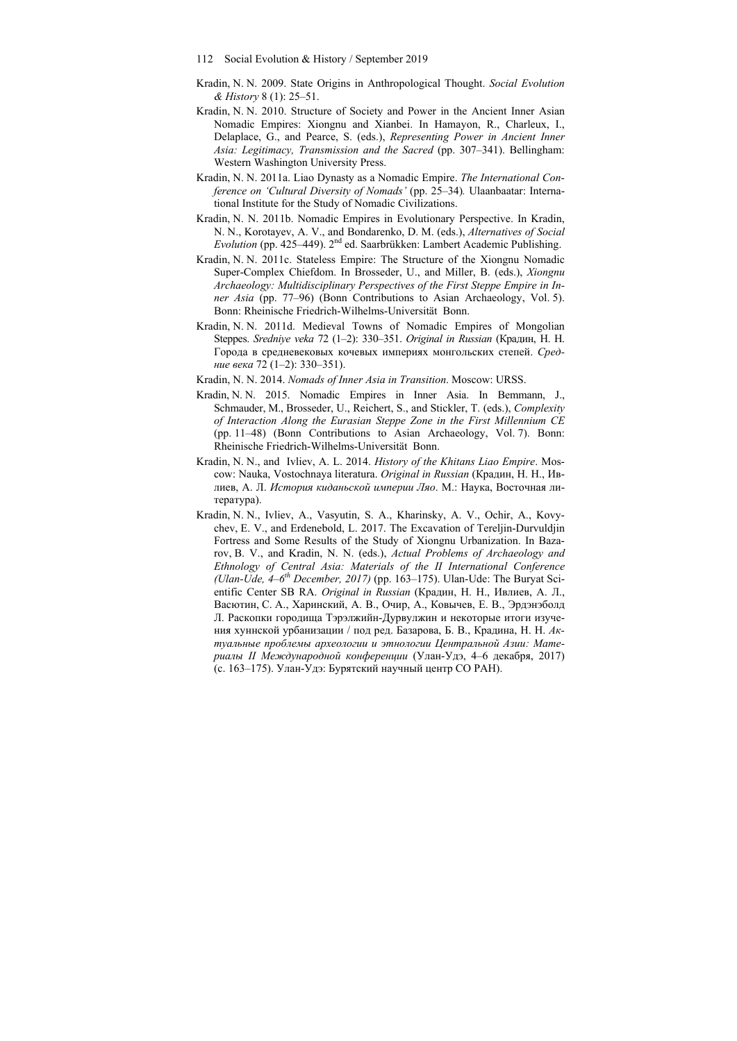- 112 Social Evolution & History / September 2019
- Kradin, N. N. 2009. State Origins in Anthropological Thought. *Social Evolution & History* 8 (1): 25–51.
- Kradin, N. N. 2010. Structure of Society and Power in the Ancient Inner Asian Nomadic Empires: Xiongnu and Xianbei. In Hamayon, R., Charleux, I., Delaplace, G., and Pearce, S. (eds.), *Representing Power in Ancient Inner Asia: Legitimacy, Transmission and the Sacred* (pp. 307–341). Bellingham: Western Washington University Press.
- Kradin, N. N. 2011a. Liao Dynasty as a Nomadic Empire. *The International Conference on 'Cultural Diversity of Nomads'* (pp. 25–34)*.* Ulaanbaatar: International Institute for the Study of Nomadic Civilizations.
- Kradin, N. N. 2011b. Nomadic Empires in Evolutionary Perspective. In Kradin, N. N., Korotayev, A. V., and Bondarenko, D. M. (eds.), *Alternatives of Social Evolution* (pp. 425–449). 2nd ed. Saarbrükken: Lambert Academic Publishing.
- Kradin, N. N. 2011c. Stateless Empire: The Structure of the Xiongnu Nomadic Super-Complex Chiefdom. In Brosseder, U., and Miller, B. (eds.), *Xiongnu Archaeology: Multidisciplinary Perspectives of the First Steppe Empire in Inner Asia* (pp. 77–96) (Bonn Contributions to Asian Archaeology, Vol. 5). Bonn: Rheinische Friedrich-Wilhelms-Universität Bonn.
- Kradin, N. N. 2011d. Medieval Towns of Nomadic Empires of Mongolian Steppes. *Sredniye veka* 72 (1–2): 330–351. *Original in Russian* (Крадин, Н. Н. Города в средневековых кочевых империях монгольских степей. *Средние века* 72 (1–2): 330–351).
- Kradin, N. N. 2014. *Nomads of Inner Asia in Transition*. Moscow: URSS.
- Kradin, N. N. 2015. Nomadic Empires in Inner Asia. In Bemmann, J., Schmauder, M., Brosseder, U., Reichert, S., and Stickler, T. (eds.), *Complexity of Interaction Along the Eurasian Steppe Zone in the First Millennium CE* (pp. 11–48) (Bonn Contributions to Asian Archaeology, Vol. 7). Bonn: Rheinische Friedrich-Wilhelms-Universität Bonn.
- Kradin, N. N., and Ivliev, A. L. 2014. *History of the Khitans Liao Empire*. Moscow: Nauka, Vostochnaya literaturа. *Original in Russian* (Крадин, Н. Н., Ивлиев, А. Л. *История киданьской империи Ляо*. М.: Наука, Восточная литература).
- Kradin, N. N., Ivliev, A., Vasyutin, S. A., Kharinsky, A. V., Ochir, A., Kovychev, E. V., and Erdenebold, L. 2017. The Excavation of Tereljin-Durvuldjin Fortress and Some Results of the Study of Xiongnu Urbanization. In Bazarov, B. V., and Kradin, N. N. (eds.), *Actual Problems of Archaeology and Ethnology of Central Asia: Materials of the II International Conference (Ulan-Ude, 4–6th December, 2017)* (pp. 163–175). Ulan-Ude: The Buryat Scientific Center SB RA. *Original in Russian* (Крадин, Н. Н., Ивлиев, А. Л., Васютин, С. А., Харинский, А. В., Очир, А., Ковычев, Е. В., Эрдэнэболд Л. Раскопки городища Тэрэлжийн-Дурвулжин и некоторые итоги изучения хуннской урбанизации / под ред. Базарова, Б. В., Крадина, Н. Н. *Актуальные проблемы археологии и этнологии Центральной Азии: Материалы II Международной конференции* (Улан-Удэ, 4–6 декабря, 2017) (с. 163–175). Улан-Удэ: Бурятский научный центр СО РАН).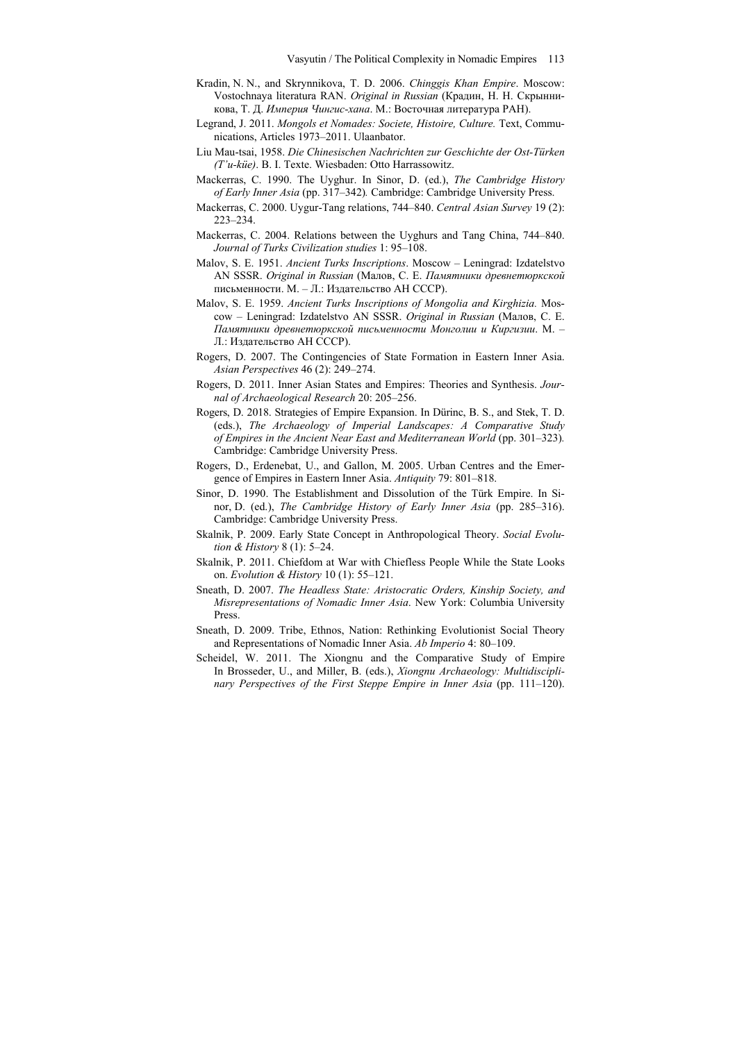- Kradin, N. N., and Skrynnikova, T. D. 2006. *Chinggis Khan Empire*. Moscow: Vostochnaya literaturа RAN. *Original in Russian* (Крадин, Н. Н. Скрынникова, Т. Д. *Империя Чингис-хана*. М.: Восточная литература РАН).
- Legrand, J. 2011. *Mongols et Nomades: Societe, Histoire, Culture.* Text, Communications, Articles 1973–2011. Ulaanbator.
- Liu Mau-tsai, 1958. *Die Chinesischen Nachrichten zur Geschichte der Ost-Türken (T'u-küe)*. В. I. Texte. Wiesbaden: Otto Harrassowitz.
- Maсkerras, C. 1990. The Uyghur. In Sinor, D. (ed.), *The Cambridge History of Early Inner Asia* (pp. 317–342)*.* Cambridge: Cambridge University Press.
- Maсkerras, C. 2000. Uygur-Tang relations, 744–840. *Central Asian Survey* 19 (2): 223–234.
- Maсkerras, C. 2004. Relations between the Uyghurs and Tang China, 744–840. *Journal of Turks Civilization studies* 1: 95–108.
- Malov, S. E. 1951. *Ancient Turks Inscriptions*. Moscow Leningrad: Izdatelstvo AN SSSR. *Original in Russian* (Малов, С. Е. *Памятники древнетюркской* письменности. М. – Л.: Издательство АН СССР).
- Malov, S. E. 1959. *Ancient Turks Inscriptions of Mongolia and Kirghizia.* Moscow – Leningrad: Izdatelstvo AN SSSR. *Original in Russian* (Малов, С. Е. *Памятники древнетюркской письменности Монголии и Киргизии*. М. – Л.: Издательство АН СССР).
- Rogers, D. 2007. The Contingencies of State Formation in Eastern Inner Asia. *Asian Perspectives* 46 (2): 249–274.
- Rogers, D. 2011. Inner Asian States and Empires: Theories and Synthesis. *Journal of Archaeological Research* 20: 205–256.
- Rogers, D. 2018. Strategies of Empire Expansion. In Dürinc, B. S., and Stek, T. D. (eds.), *The Archaeology of Imperial Landscapes: A Comparative Study of Empires in the Ancient Near East and Mediterranean World* (pp. 301–323)*.*  Cambridge: Cambridge University Press.
- Rogers, D., Erdenebat, U., and Gallon, M. 2005. Urban Centres and the Emergence of Empires in Eastern Inner Asia. *Antiquity* 79: 801–818.
- Sinor, D. 1990. The Establishment and Dissolution of the Türk Empire. In Sinor, D. (ed.), *The Cambridge History of Early Inner Asia* (pp. 285–316). Cambridge: Cambridge University Press.
- Skalnik, P. 2009. Early State Concept in Anthropological Theory. *Social Evolution & History* 8 (1): 5–24.
- Skalnik, P. 2011. Chiefdom at War with Chiefless People While the State Looks on. *Evolution & History* 10 (1): 55–121.
- Sneath, D. 2007. *The Headless State: Aristocratic Orders, Kinship Society, and Misrepresentations of Nomadic Inner Asia*. New York: Columbia University Press.
- Sneath, D. 2009. Tribe, Ethnos, Nation: Rethinking Evolutionist Social Theory and Representations of Nomadic Inner Asia. *Ab Imperio* 4: 80–109.
- Scheidel, W. 2011. The Xiongnu and the Comparative Study of Empire In Brosseder, U., and Miller, B. (eds.), *Xiongnu Archaeology: Multidisciplinary Perspectives of the First Steppe Empire in Inner Asia* (pp. 111–120).